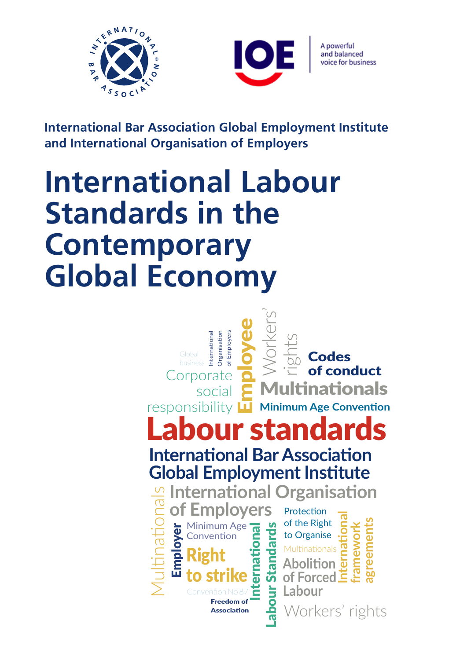



A powerful and balanced voice for business

**International Bar Association Global Employment Institute and International Organisation of Employers**

# **International Labour Standards in the Contemporary Global Economy**

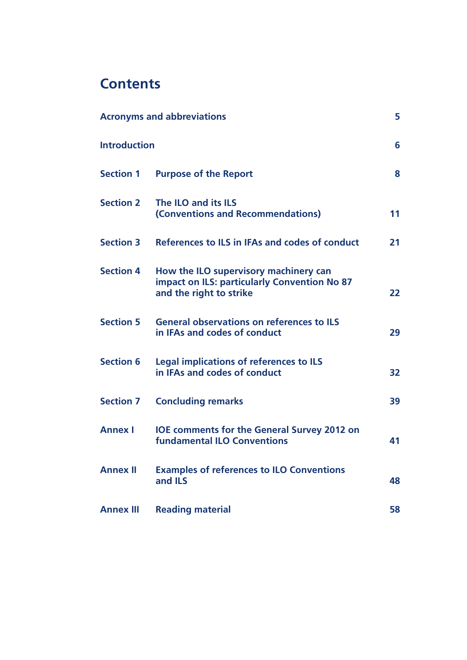# **Contents**

| <b>Acronyms and abbreviations</b> |                                                                                                                  |    |
|-----------------------------------|------------------------------------------------------------------------------------------------------------------|----|
| <b>Introduction</b>               |                                                                                                                  |    |
| <b>Section 1</b>                  | <b>Purpose of the Report</b>                                                                                     | 8  |
| <b>Section 2</b>                  | The ILO and its ILS<br>(Conventions and Recommendations)                                                         | 11 |
| <b>Section 3</b>                  | <b>References to ILS in IFAs and codes of conduct</b>                                                            | 21 |
| <b>Section 4</b>                  | How the ILO supervisory machinery can<br>impact on ILS: particularly Convention No 87<br>and the right to strike | 22 |
| <b>Section 5</b>                  | <b>General observations on references to ILS</b><br>in IFAs and codes of conduct                                 | 29 |
| <b>Section 6</b>                  | <b>Legal implications of references to ILS</b><br>in IFAs and codes of conduct                                   | 32 |
| <b>Section 7</b>                  | <b>Concluding remarks</b>                                                                                        | 39 |
| <b>Annex I</b>                    | <b>IOE comments for the General Survey 2012 on</b><br><b>fundamental ILO Conventions</b>                         | 41 |
| <b>Annex II</b>                   | <b>Examples of references to ILO Conventions</b><br>and ILS                                                      | 48 |
| <b>Annex III</b>                  | <b>Reading material</b>                                                                                          | 58 |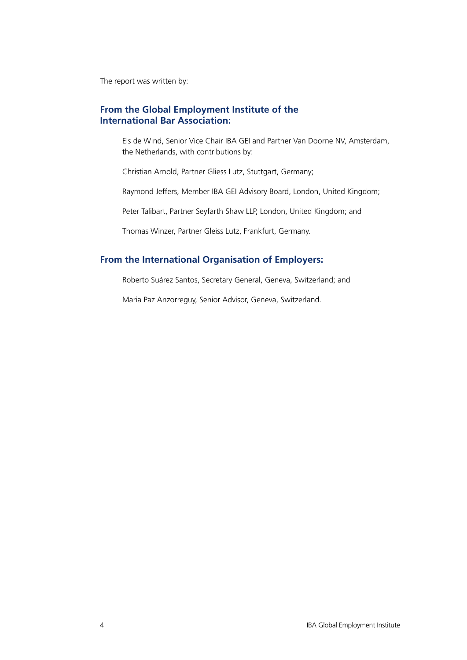The report was written by:

# **From the Global Employment Institute of the International Bar Association:**

Els de Wind, Senior Vice Chair IBA GEI and Partner Van Doorne NV, Amsterdam, the Netherlands, with contributions by:

Christian Arnold, Partner Gliess Lutz, Stuttgart, Germany;

Raymond Jeffers, Member IBA GEI Advisory Board, London, United Kingdom;

Peter Talibart, Partner Seyfarth Shaw LLP, London, United Kingdom; and

Thomas Winzer, Partner Gleiss Lutz, Frankfurt, Germany.

# **From the International Organisation of Employers:**

Roberto Suárez Santos, Secretary General, Geneva, Switzerland; and

Maria Paz Anzorreguy, Senior Advisor, Geneva, Switzerland.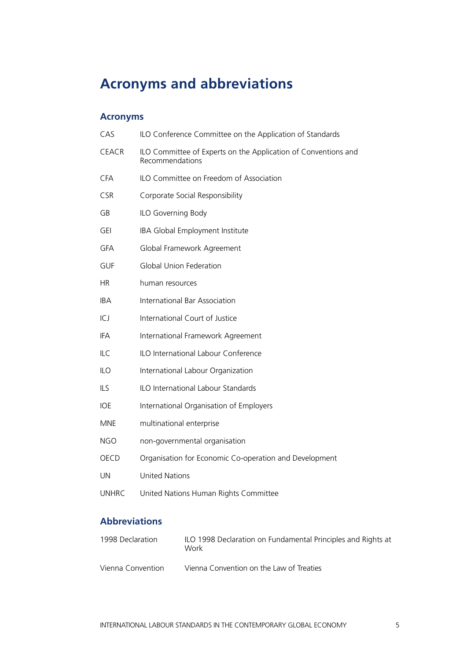# **Acronyms and abbreviations**

# **Acronyms**

| CAS          | ILO Conference Committee on the Application of Standards                          |
|--------------|-----------------------------------------------------------------------------------|
| CEACR        | ILO Committee of Experts on the Application of Conventions and<br>Recommendations |
| CFA          | ILO Committee on Freedom of Association                                           |
| CSR          | Corporate Social Responsibility                                                   |
| GB           | ILO Governing Body                                                                |
| GEI          | IBA Global Employment Institute                                                   |
| GFA          | Global Framework Agreement                                                        |
| GUF          | <b>Global Union Federation</b>                                                    |
| <b>HR</b>    | human resources                                                                   |
| IBA          | International Bar Association                                                     |
| ICJ          | International Court of Justice                                                    |
| IFA          | International Framework Agreement                                                 |
| ILC          | ILO International Labour Conference                                               |
| ILO          | International Labour Organization                                                 |
| ILS          | ILO International Labour Standards                                                |
| <b>IOE</b>   | International Organisation of Employers                                           |
| <b>MNE</b>   | multinational enterprise                                                          |
| <b>NGO</b>   | non-governmental organisation                                                     |
| OECD         | Organisation for Economic Co-operation and Development                            |
| UN           | <b>United Nations</b>                                                             |
| <b>UNHRC</b> | United Nations Human Rights Committee                                             |

# **Abbreviations**

| 1998 Declaration  | ILO 1998 Declaration on Fundamental Principles and Rights at<br>Work |
|-------------------|----------------------------------------------------------------------|
| Vienna Convention | Vienna Convention on the Law of Treaties                             |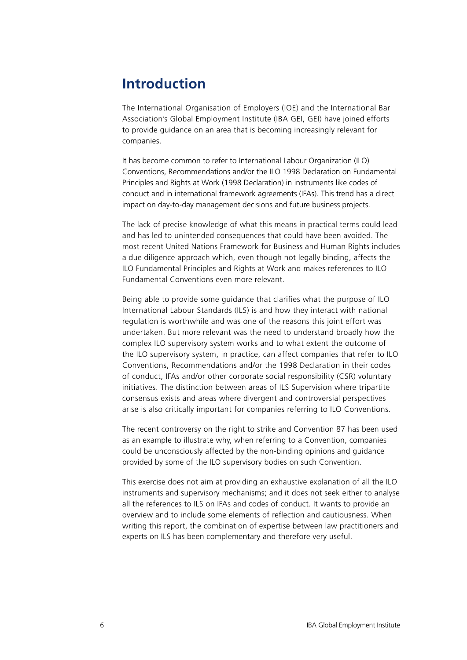# **Introduction**

The International Organisation of Employers (IOE) and the International Bar Association's Global Employment Institute (IBA GEI, GEI) have joined efforts to provide guidance on an area that is becoming increasingly relevant for companies.

It has become common to refer to International Labour Organization (ILO) Conventions, Recommendations and/or the ILO 1998 Declaration on Fundamental Principles and Rights at Work (1998 Declaration) in instruments like codes of conduct and in international framework agreements (IFAs). This trend has a direct impact on day-to-day management decisions and future business projects.

The lack of precise knowledge of what this means in practical terms could lead and has led to unintended consequences that could have been avoided. The most recent United Nations Framework for Business and Human Rights includes a due diligence approach which, even though not legally binding, affects the ILO Fundamental Principles and Rights at Work and makes references to ILO Fundamental Conventions even more relevant.

Being able to provide some guidance that clarifies what the purpose of ILO International Labour Standards (ILS) is and how they interact with national regulation is worthwhile and was one of the reasons this joint effort was undertaken. But more relevant was the need to understand broadly how the complex ILO supervisory system works and to what extent the outcome of the ILO supervisory system, in practice, can affect companies that refer to ILO Conventions, Recommendations and/or the 1998 Declaration in their codes of conduct, IFAs and/or other corporate social responsibility (CSR) voluntary initiatives. The distinction between areas of ILS Supervision where tripartite consensus exists and areas where divergent and controversial perspectives arise is also critically important for companies referring to ILO Conventions.

The recent controversy on the right to strike and Convention 87 has been used as an example to illustrate why, when referring to a Convention, companies could be unconsciously affected by the non-binding opinions and guidance provided by some of the ILO supervisory bodies on such Convention.

This exercise does not aim at providing an exhaustive explanation of all the ILO instruments and supervisory mechanisms; and it does not seek either to analyse all the references to ILS on IFAs and codes of conduct. It wants to provide an overview and to include some elements of reflection and cautiousness. When writing this report, the combination of expertise between law practitioners and experts on ILS has been complementary and therefore very useful.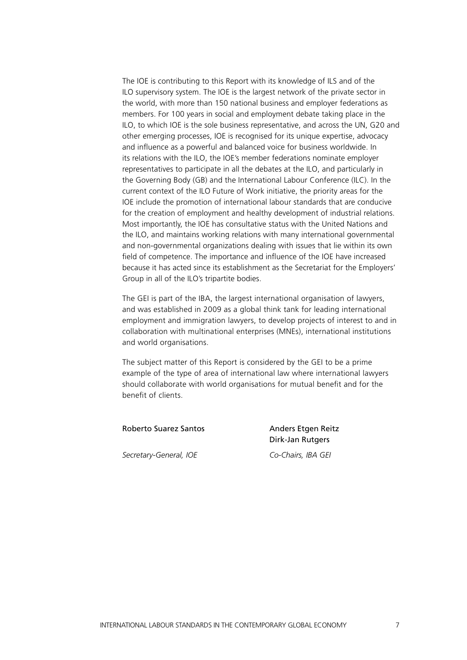The IOE is contributing to this Report with its knowledge of ILS and of the ILO supervisory system. The IOE is the largest network of the private sector in the world, with more than 150 national business and employer federations as members. For 100 years in social and employment debate taking place in the ILO, to which IOE is the sole business representative, and across the UN, G20 and other emerging processes, IOE is recognised for its unique expertise, advocacy and influence as a powerful and balanced voice for business worldwide. In its relations with the ILO, the IOE's member federations nominate employer representatives to participate in all the debates at the ILO, and particularly in the Governing Body (GB) and the International Labour Conference (ILC). In the current context of the ILO Future of Work initiative, the priority areas for the IOE include the promotion of international labour standards that are conducive for the creation of employment and healthy development of industrial relations. Most importantly, the IOE has consultative status with the United Nations and the ILO, and maintains working relations with many international governmental and non-governmental organizations dealing with issues that lie within its own field of competence. The importance and influence of the IOE have increased because it has acted since its establishment as the Secretariat for the Employers' Group in all of the ILO's tripartite bodies.

The GEI is part of the IBA, the largest international organisation of lawyers, and was established in 2009 as a global think tank for leading international employment and immigration lawyers, to develop projects of interest to and in collaboration with multinational enterprises (MNEs), international institutions and world organisations.

The subject matter of this Report is considered by the GEI to be a prime example of the type of area of international law where international lawyers should collaborate with world organisations for mutual benefit and for the benefit of clients.

Roberto Suarez Santos **Anders Etgen Reitz** 

Dirk-Jan Rutgers

Secretary-General, *IOE* Co-Chairs, *IBA GEI*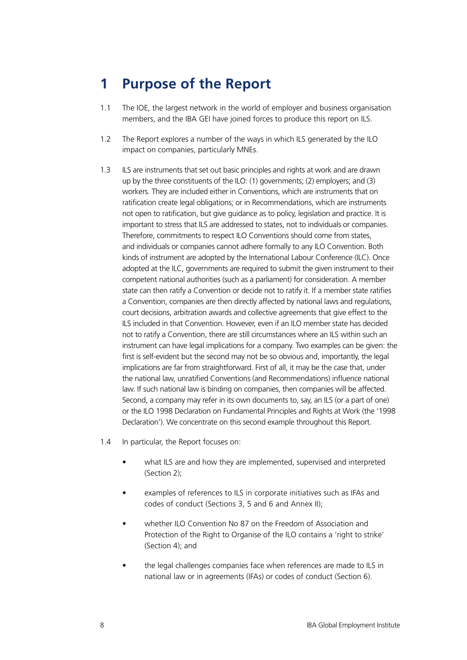# **1 Purpose of the Report**

- 1.1 The IOE, the largest network in the world of employer and business organisation members, and the IBA GEI have joined forces to produce this report on ILS.
- 1.2 The Report explores a number of the ways in which ILS generated by the ILO impact on companies, particularly MNEs.
- 1.3 ILS are instruments that set out basic principles and rights at work and are drawn up by the three constituents of the ILO: (1) governments; (2) employers; and (3) workers. They are included either in Conventions, which are instruments that on ratification create legal obligations; or in Recommendations, which are instruments not open to ratification, but give guidance as to policy, legislation and practice. It is important to stress that ILS are addressed to states, not to individuals or companies. Therefore, commitments to respect ILO Conventions should come from states, and individuals or companies cannot adhere formally to any ILO Convention. Both kinds of instrument are adopted by the International Labour Conference (ILC). Once adopted at the ILC, governments are required to submit the given instrument to their competent national authorities (such as a parliament) for consideration. A member state can then ratify a Convention or decide not to ratify it. If a member state ratifies a Convention, companies are then directly affected by national laws and regulations, court decisions, arbitration awards and collective agreements that give effect to the ILS included in that Convention. However, even if an ILO member state has decided not to ratify a Convention, there are still circumstances where an ILS within such an instrument can have legal implications for a company. Two examples can be given: the first is self-evident but the second may not be so obvious and, importantly, the legal implications are far from straightforward. First of all, it may be the case that, under the national law, unratified Conventions (and Recommendations) influence national law. If such national law is binding on companies, then companies will be affected. Second, a company may refer in its own documents to, say, an ILS (or a part of one) or the ILO 1998 Declaration on Fundamental Principles and Rights at Work (the '1998 Declaration'). We concentrate on this second example throughout this Report.
- 1.4 In particular, the Report focuses on:
	- what ILS are and how they are implemented, supervised and interpreted (Section 2);
	- examples of references to ILS in corporate initiatives such as IFAs and codes of conduct (Sections 3, 5 and 6 and Annex II);
	- whether ILO Convention No 87 on the Freedom of Association and Protection of the Right to Organise of the ILO contains a 'right to strike' (Section 4); and
	- the legal challenges companies face when references are made to ILS in national law or in agreements (IFAs) or codes of conduct (Section 6).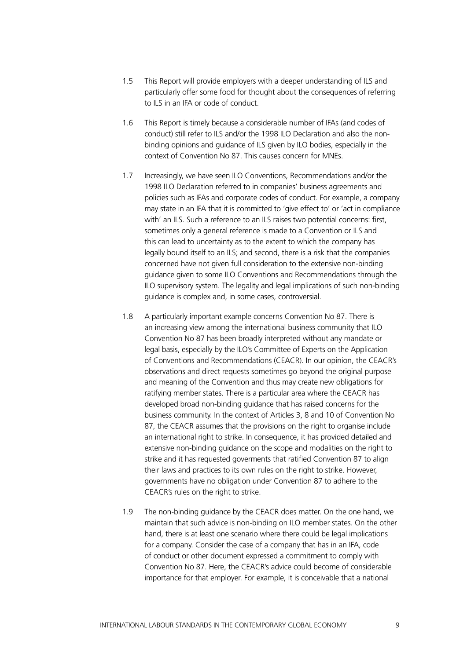- 1.5 This Report will provide employers with a deeper understanding of ILS and particularly offer some food for thought about the consequences of referring to ILS in an IFA or code of conduct.
- 1.6 This Report is timely because a considerable number of IFAs (and codes of conduct) still refer to ILS and/or the 1998 ILO Declaration and also the nonbinding opinions and guidance of ILS given by ILO bodies, especially in the context of Convention No 87. This causes concern for MNEs.
- 1.7 Increasingly, we have seen ILO Conventions, Recommendations and/or the 1998 ILO Declaration referred to in companies' business agreements and policies such as IFAs and corporate codes of conduct. For example, a company may state in an IFA that it is committed to 'give effect to' or 'act in compliance with' an ILS. Such a reference to an ILS raises two potential concerns: first, sometimes only a general reference is made to a Convention or ILS and this can lead to uncertainty as to the extent to which the company has legally bound itself to an ILS; and second, there is a risk that the companies concerned have not given full consideration to the extensive non-binding guidance given to some ILO Conventions and Recommendations through the ILO supervisory system. The legality and legal implications of such non-binding guidance is complex and, in some cases, controversial.
- 1.8 A particularly important example concerns Convention No 87. There is an increasing view among the international business community that ILO Convention No 87 has been broadly interpreted without any mandate or legal basis, especially by the ILO's Committee of Experts on the Application of Conventions and Recommendations (CEACR). In our opinion, the CEACR's observations and direct requests sometimes go beyond the original purpose and meaning of the Convention and thus may create new obligations for ratifying member states. There is a particular area where the CEACR has developed broad non-binding guidance that has raised concerns for the business community. In the context of Articles 3, 8 and 10 of Convention No 87, the CEACR assumes that the provisions on the right to organise include an international right to strike. In consequence, it has provided detailed and extensive non-binding guidance on the scope and modalities on the right to strike and it has requested goverments that ratified Convention 87 to align their laws and practices to its own rules on the right to strike. However, governments have no obligation under Convention 87 to adhere to the CEACR's rules on the right to strike.
- 1.9 The non-binding guidance by the CEACR does matter. On the one hand, we maintain that such advice is non-binding on ILO member states. On the other hand, there is at least one scenario where there could be legal implications for a company. Consider the case of a company that has in an IFA, code of conduct or other document expressed a commitment to comply with Convention No 87. Here, the CEACR's advice could become of considerable importance for that employer. For example, it is conceivable that a national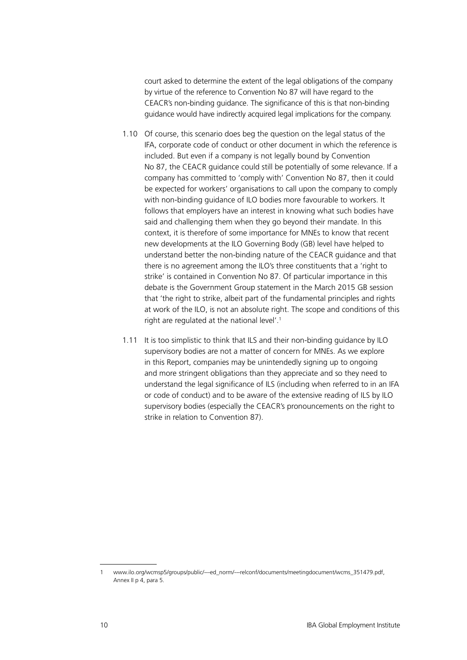court asked to determine the extent of the legal obligations of the company by virtue of the reference to Convention No 87 will have regard to the CEACR's non-binding guidance. The significance of this is that non-binding guidance would have indirectly acquired legal implications for the company.

- 1.10 Of course, this scenario does beg the question on the legal status of the IFA, corporate code of conduct or other document in which the reference is included. But even if a company is not legally bound by Convention No 87, the CEACR guidance could still be potentially of some relevance. If a company has committed to 'comply with' Convention No 87, then it could be expected for workers' organisations to call upon the company to comply with non-binding guidance of ILO bodies more favourable to workers. It follows that employers have an interest in knowing what such bodies have said and challenging them when they go beyond their mandate. In this context, it is therefore of some importance for MNEs to know that recent new developments at the ILO Governing Body (GB) level have helped to understand better the non-binding nature of the CEACR guidance and that there is no agreement among the ILO's three constituents that a 'right to strike' is contained in Convention No 87. Of particular importance in this debate is the Government Group statement in the March 2015 GB session that 'the right to strike, albeit part of the fundamental principles and rights at work of the ILO, is not an absolute right. The scope and conditions of this right are regulated at the national level'.1
- 1.11 It is too simplistic to think that ILS and their non-binding guidance by ILO supervisory bodies are not a matter of concern for MNEs. As we explore in this Report, companies may be unintendedly signing up to ongoing and more stringent obligations than they appreciate and so they need to understand the legal significance of ILS (including when referred to in an IFA or code of conduct) and to be aware of the extensive reading of ILS by ILO supervisory bodies (especially the CEACR's pronouncements on the right to strike in relation to Convention 87).

<sup>1</sup> www.ilo.org/wcmsp5/groups/public/---ed\_norm/---relconf/documents/meetingdocument/wcms\_351479.pdf, Annex II p 4, para 5.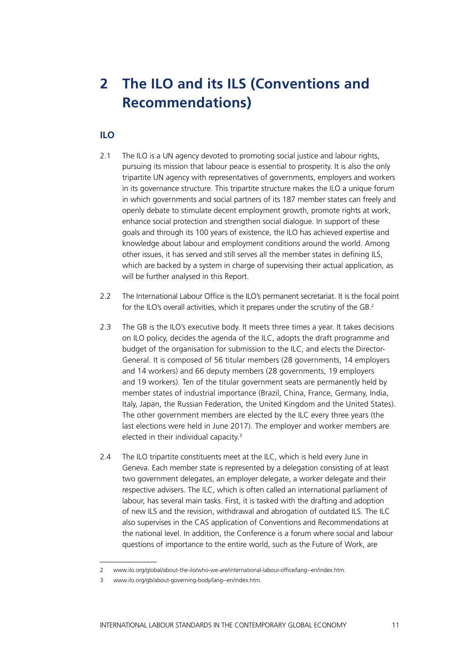# **2 The ILO and its ILS (Conventions and Recommendations)**

# **ILO**

- 2.1 The ILO is a UN agency devoted to promoting social justice and labour rights, pursuing its mission that labour peace is essential to prosperity. It is also the only tripartite UN agency with representatives of governments, employers and workers in its governance structure. This tripartite structure makes the ILO a unique forum in which governments and social partners of its 187 member states can freely and openly debate to stimulate decent employment growth, promote rights at work, enhance social protection and strengthen social dialogue. In support of these goals and through its 100 years of existence, the ILO has achieved expertise and knowledge about labour and employment conditions around the world. Among other issues, it has served and still serves all the member states in defining ILS, which are backed by a system in charge of supervising their actual application, as will be further analysed in this Report.
- 2.2 The International Labour Office is the ILO's permanent secretariat. It is the focal point for the ILO's overall activities, which it prepares under the scrutiny of the GB.2
- 2.3 The GB is the ILO's executive body. It meets three times a year. It takes decisions on ILO policy, decides the agenda of the ILC, adopts the draft programme and budget of the organisation for submission to the ILC, and elects the Director-General. It is composed of 56 titular members (28 governments, 14 employers and 14 workers) and 66 deputy members (28 governments, 19 employers and 19 workers). Ten of the titular government seats are permanently held by member states of industrial importance (Brazil, China, France, Germany, India, Italy, Japan, the Russian Federation, the United Kingdom and the United States). The other government members are elected by the ILC every three years (the last elections were held in June 2017). The employer and worker members are elected in their individual capacity.3
- 2.4 The ILO tripartite constituents meet at the ILC, which is held every June in Geneva. Each member state is represented by a delegation consisting of at least two government delegates, an employer delegate, a worker delegate and their respective advisers. The ILC, which is often called an international parliament of labour, has several main tasks. First, it is tasked with the drafting and adoption of new ILS and the revision, withdrawal and abrogation of outdated ILS. The ILC also supervises in the CAS application of Conventions and Recommendations at the national level. In addition, the Conference is a forum where social and labour questions of importance to the entire world, such as the Future of Work, are

<sup>2</sup> www.ilo.org/global/about-the-ilo/who-we-are/international-labour-office/lang--en/index.htm.

<sup>3</sup> www.ilo.org/gb/about-governing-body/lang--en/index.htm.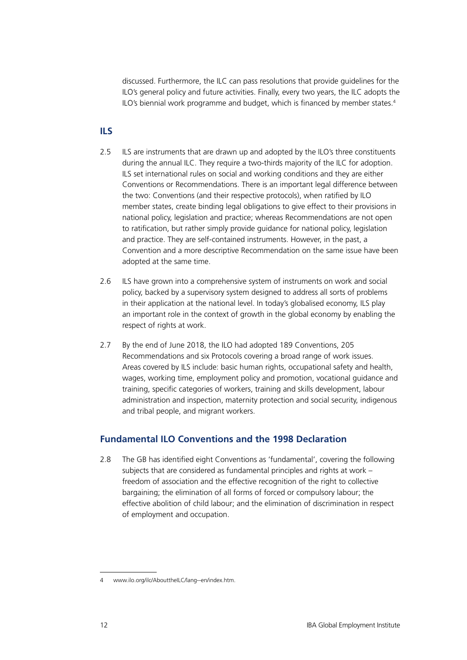discussed. Furthermore, the ILC can pass resolutions that provide guidelines for the ILO's general policy and future activities. Finally, every two years, the ILC adopts the ILO's biennial work programme and budget, which is financed by member states.4

# **ILS**

- 2.5 ILS are instruments that are drawn up and adopted by the ILO's three constituents during the annual ILC. They require a two-thirds majority of the ILC for adoption. ILS set international rules on social and working conditions and they are either Conventions or Recommendations. There is an important legal difference between the two: Conventions (and their respective protocols), when ratified by ILO member states, create binding legal obligations to give effect to their provisions in national policy, legislation and practice; whereas Recommendations are not open to ratification, but rather simply provide guidance for national policy, legislation and practice. They are self-contained instruments. However, in the past, a Convention and a more descriptive Recommendation on the same issue have been adopted at the same time.
- 2.6 ILS have grown into a comprehensive system of instruments on work and social policy, backed by a supervisory system designed to address all sorts of problems in their application at the national level. In today's globalised economy, ILS play an important role in the context of growth in the global economy by enabling the respect of rights at work.
- 2.7 By the end of June 2018, the ILO had adopted 189 Conventions, 205 Recommendations and six Protocols covering a broad range of work issues. Areas covered by ILS include: basic human rights, occupational safety and health, wages, working time, employment policy and promotion, vocational guidance and training, specific categories of workers, training and skills development, labour administration and inspection, maternity protection and social security, indigenous and tribal people, and migrant workers.

# **Fundamental ILO Conventions and the 1998 Declaration**

2.8 The GB has identified eight Conventions as 'fundamental', covering the following subjects that are considered as fundamental principles and rights at work – freedom of association and the effective recognition of the right to collective bargaining; the elimination of all forms of forced or compulsory labour; the effective abolition of child labour; and the elimination of discrimination in respect of employment and occupation.

<sup>4</sup> www.ilo.org/ilc/AbouttheILC/lang--en/index.htm.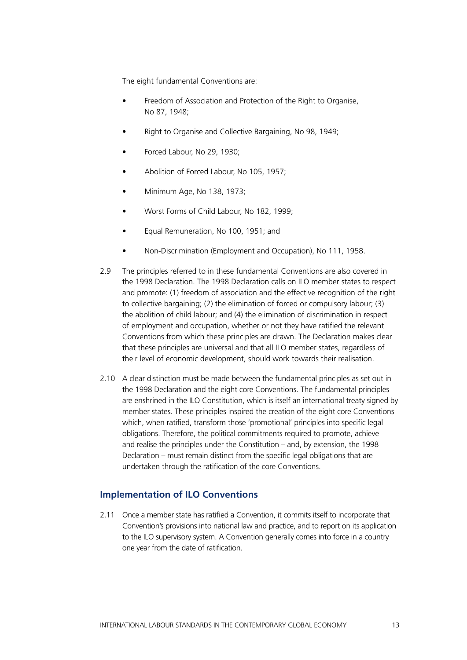The eight fundamental Conventions are:

- Freedom of Association and Protection of the Right to Organise, No 87, 1948;
- Right to Organise and Collective Bargaining, No 98, 1949;
- Forced Labour, No 29, 1930;
- Abolition of Forced Labour, No 105, 1957;
- Minimum Age, No 138, 1973;
- Worst Forms of Child Labour, No 182, 1999;
- Equal Remuneration, No 100, 1951; and
- Non-Discrimination (Employment and Occupation), No 111, 1958.
- 2.9 The principles referred to in these fundamental Conventions are also covered in the 1998 Declaration. The 1998 Declaration calls on ILO member states to respect and promote: (1) freedom of association and the effective recognition of the right to collective bargaining; (2) the elimination of forced or compulsory labour; (3) the abolition of child labour; and (4) the elimination of discrimination in respect of employment and occupation, whether or not they have ratified the relevant Conventions from which these principles are drawn. The Declaration makes clear that these principles are universal and that all ILO member states, regardless of their level of economic development, should work towards their realisation.
- 2.10 A clear distinction must be made between the fundamental principles as set out in the 1998 Declaration and the eight core Conventions. The fundamental principles are enshrined in the ILO Constitution, which is itself an international treaty signed by member states. These principles inspired the creation of the eight core Conventions which, when ratified, transform those 'promotional' principles into specific legal obligations. Therefore, the political commitments required to promote, achieve and realise the principles under the Constitution – and, by extension, the 1998 Declaration – must remain distinct from the specific legal obligations that are undertaken through the ratification of the core Conventions.

### **Implementation of ILO Conventions**

2.11 Once a member state has ratified a Convention, it commits itself to incorporate that Convention's provisions into national law and practice, and to report on its application to the ILO supervisory system. A Convention generally comes into force in a country one year from the date of ratification.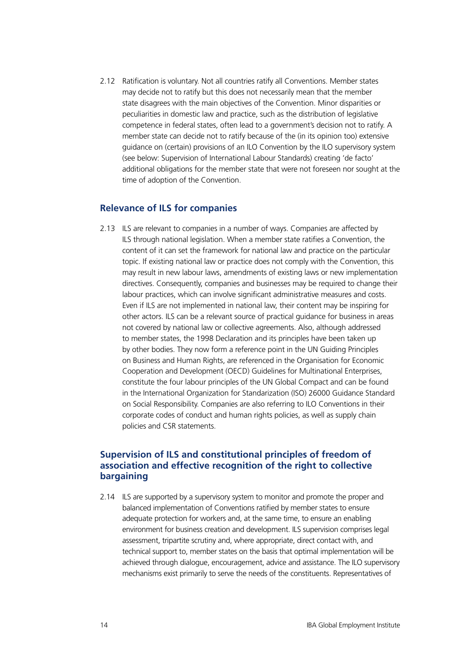2.12 Ratification is voluntary. Not all countries ratify all Conventions. Member states may decide not to ratify but this does not necessarily mean that the member state disagrees with the main objectives of the Convention. Minor disparities or peculiarities in domestic law and practice, such as the distribution of legislative competence in federal states, often lead to a government's decision not to ratify. A member state can decide not to ratify because of the (in its opinion too) extensive guidance on (certain) provisions of an ILO Convention by the ILO supervisory system (see below: Supervision of International Labour Standards) creating 'de facto' additional obligations for the member state that were not foreseen nor sought at the time of adoption of the Convention.

### **Relevance of ILS for companies**

2.13 ILS are relevant to companies in a number of ways. Companies are affected by ILS through national legislation. When a member state ratifies a Convention, the content of it can set the framework for national law and practice on the particular topic. If existing national law or practice does not comply with the Convention, this may result in new labour laws, amendments of existing laws or new implementation directives. Consequently, companies and businesses may be required to change their labour practices, which can involve significant administrative measures and costs. Even if ILS are not implemented in national law, their content may be inspiring for other actors. ILS can be a relevant source of practical guidance for business in areas not covered by national law or collective agreements. Also, although addressed to member states, the 1998 Declaration and its principles have been taken up by other bodies. They now form a reference point in the UN Guiding Principles on Business and Human Rights, are referenced in the Organisation for Economic Cooperation and Development (OECD) Guidelines for Multinational Enterprises, constitute the four labour principles of the UN Global Compact and can be found in the International Organization for Standarization (ISO) 26000 Guidance Standard on Social Responsibility. Companies are also referring to ILO Conventions in their corporate codes of conduct and human rights policies, as well as supply chain policies and CSR statements.

# **Supervision of ILS and constitutional principles of freedom of association and effective recognition of the right to collective bargaining**

2.14 ILS are supported by a supervisory system to monitor and promote the proper and balanced implementation of Conventions ratified by member states to ensure adequate protection for workers and, at the same time, to ensure an enabling environment for business creation and development. ILS supervision comprises legal assessment, tripartite scrutiny and, where appropriate, direct contact with, and technical support to, member states on the basis that optimal implementation will be achieved through dialogue, encouragement, advice and assistance. The ILO supervisory mechanisms exist primarily to serve the needs of the constituents. Representatives of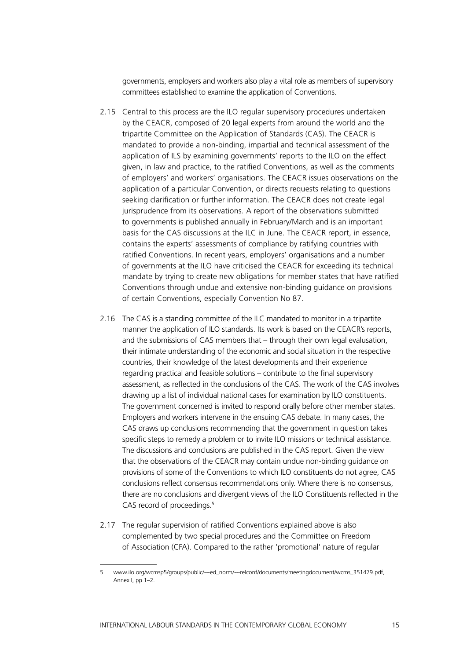governments, employers and workers also play a vital role as members of supervisory committees established to examine the application of Conventions.

- 2.15 Central to this process are the ILO regular supervisory procedures undertaken by the CEACR, composed of 20 legal experts from around the world and the tripartite Committee on the Application of Standards (CAS). The CEACR is mandated to provide a non-binding, impartial and technical assessment of the application of ILS by examining governments' reports to the ILO on the effect given, in law and practice, to the ratified Conventions, as well as the comments of employers' and workers' organisations. The CEACR issues observations on the application of a particular Convention, or directs requests relating to questions seeking clarification or further information. The CEACR does not create legal jurisprudence from its observations. A report of the observations submitted to governments is published annually in February/March and is an important basis for the CAS discussions at the ILC in June. The CEACR report, in essence, contains the experts' assessments of compliance by ratifying countries with ratified Conventions. In recent years, employers' organisations and a number of governments at the ILO have criticised the CEACR for exceeding its technical mandate by trying to create new obligations for member states that have ratified Conventions through undue and extensive non-binding guidance on provisions of certain Conventions, especially Convention No 87.
- 2.16 The CAS is a standing committee of the ILC mandated to monitor in a tripartite manner the application of ILO standards. Its work is based on the CEACR's reports, and the submissions of CAS members that – through their own legal evalusation, their intimate understanding of the economic and social situation in the respective countries, their knowledge of the latest developments and their experience regarding practical and feasible solutions – contribute to the final supervisory assessment, as reflected in the conclusions of the CAS. The work of the CAS involves drawing up a list of individual national cases for examination by ILO constituents. The government concerned is invited to respond orally before other member states. Employers and workers intervene in the ensuing CAS debate. In many cases, the CAS draws up conclusions recommending that the government in question takes specific steps to remedy a problem or to invite ILO missions or technical assistance. The discussions and conclusions are published in the CAS report. Given the view that the observations of the CEACR may contain undue non-binding guidance on provisions of some of the Conventions to which ILO constituents do not agree, CAS conclusions reflect consensus recommendations only. Where there is no consensus, there are no conclusions and divergent views of the ILO Constituents reflected in the CAS record of proceedings.<sup>5</sup>
- 2.17 The regular supervision of ratified Conventions explained above is also complemented by two special procedures and the Committee on Freedom of Association (CFA). Compared to the rather 'promotional' nature of regular

<sup>5</sup> www.ilo.org/wcmsp5/groups/public/---ed\_norm/---relconf/documents/meetingdocument/wcms\_351479.pdf, Annex I, pp 1–2.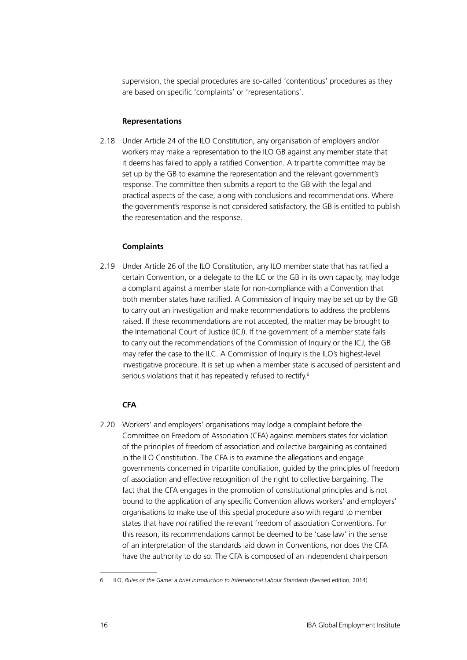supervision, the special procedures are so-called 'contentious' procedures as they are based on specific 'complaints' or 'representations'.

#### **Representations**

2.18 Under Article 24 of the ILO Constitution, any organisation of employers and/or workers may make a representation to the ILO GB against any member state that it deems has failed to apply a ratified Convention. A tripartite committee may be set up by the GB to examine the representation and the relevant government's response. The committee then submits a report to the GB with the legal and practical aspects of the case, along with conclusions and recommendations. Where the government's response is not considered satisfactory, the GB is entitled to publish the representation and the response.

#### **Complaints**

2.19 Under Article 26 of the ILO Constitution, any ILO member state that has ratified a certain Convention, or a delegate to the ILC or the GB in its own capacity, may lodge a complaint against a member state for non-compliance with a Convention that both member states have ratified. A Commission of Inquiry may be set up by the GB to carry out an investigation and make recommendations to address the problems raised. If these recommendations are not accepted, the matter may be brought to the International Court of Justice (ICJ). If the government of a member state fails to carry out the recommendations of the Commission of Inquiry or the ICJ, the GB may refer the case to the ILC. A Commission of Inquiry is the ILO's highest-level investigative procedure. It is set up when a member state is accused of persistent and serious violations that it has repeatedly refused to rectify.<sup>6</sup>

### **CFA**

2.20 Workers' and employers' organisations may lodge a complaint before the Committee on Freedom of Association (CFA) against members states for violation of the principles of freedom of association and collective bargaining as contained in the ILO Constitution. The CFA is to examine the allegations and engage governments concerned in tripartite conciliation, guided by the principles of freedom of association and effective recognition of the right to collective bargaining. The fact that the CFA engages in the promotion of constitutional principles and is not bound to the application of any specific Convention allows workers' and employers' organisations to make use of this special procedure also with regard to member states that have *not* ratified the relevant freedom of association Conventions. For this reason, its recommendations cannot be deemed to be 'case law' in the sense of an interpretation of the standards laid down in Conventions, nor does the CFA have the authority to do so. The CFA is composed of an independent chairperson

<sup>6</sup> ILO, *Rules of the Game: a brief introduction to International Labour Standards* (Revised edition, 2014).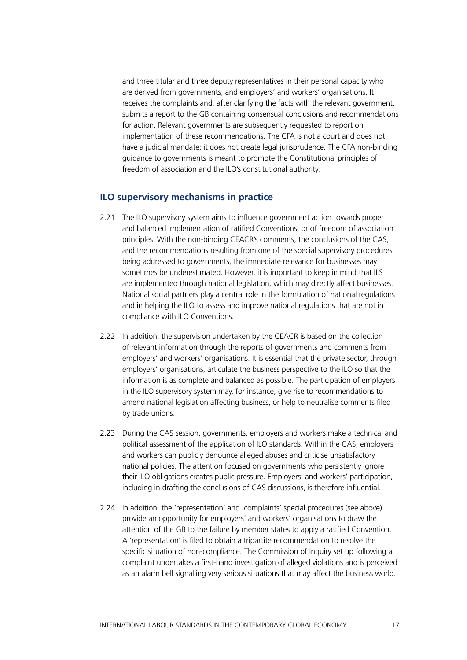and three titular and three deputy representatives in their personal capacity who are derived from governments, and employers' and workers' organisations. It receives the complaints and, after clarifying the facts with the relevant government, submits a report to the GB containing consensual conclusions and recommendations for action. Relevant governments are subsequently requested to report on implementation of these recommendations. The CFA is not a court and does not have a judicial mandate; it does not create legal jurisprudence. The CFA non-binding guidance to governments is meant to promote the Constitutional principles of freedom of association and the ILO's constitutional authority.

### **ILO supervisory mechanisms in practice**

- 2.21 The ILO supervisory system aims to influence government action towards proper and balanced implementation of ratified Conventions, or of freedom of association principles. With the non-binding CEACR's comments, the conclusions of the CAS, and the recommendations resulting from one of the special supervisory procedures being addressed to governments, the immediate relevance for businesses may sometimes be underestimated. However, it is important to keep in mind that ILS are implemented through national legislation, which may directly affect businesses. National social partners play a central role in the formulation of national regulations and in helping the ILO to assess and improve national regulations that are not in compliance with ILO Conventions.
- 2.22 In addition, the supervision undertaken by the CEACR is based on the collection of relevant information through the reports of governments and comments from employers' and workers' organisations. It is essential that the private sector, through employers' organisations, articulate the business perspective to the ILO so that the information is as complete and balanced as possible. The participation of employers in the ILO supervisory system may, for instance, give rise to recommendations to amend national legislation affecting business, or help to neutralise comments filed by trade unions.
- 2.23 During the CAS session, governments, employers and workers make a technical and political assessment of the application of ILO standards. Within the CAS, employers and workers can publicly denounce alleged abuses and criticise unsatisfactory national policies. The attention focused on governments who persistently ignore their ILO obligations creates public pressure. Employers' and workers' participation, including in drafting the conclusions of CAS discussions, is therefore influential.
- 2.24 In addition, the 'representation' and 'complaints' special procedures (see above) provide an opportunity for employers' and workers' organisations to draw the attention of the GB to the failure by member states to apply a ratified Convention. A 'representation' is filed to obtain a tripartite recommendation to resolve the specific situation of non-compliance. The Commission of Inquiry set up following a complaint undertakes a first-hand investigation of alleged violations and is perceived as an alarm bell signalling very serious situations that may affect the business world.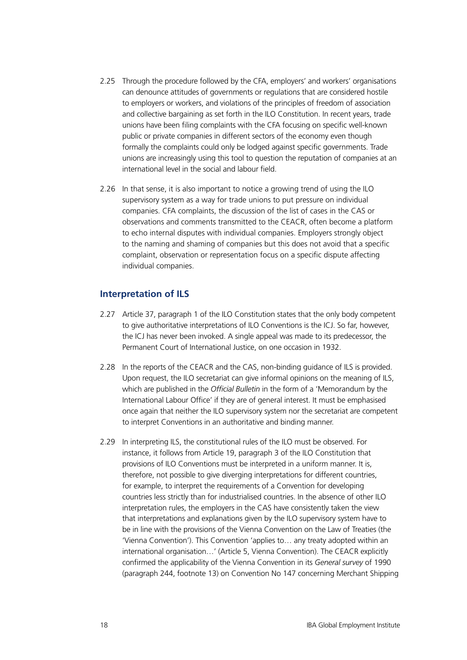- 2.25 Through the procedure followed by the CFA, employers' and workers' organisations can denounce attitudes of governments or regulations that are considered hostile to employers or workers, and violations of the principles of freedom of association and collective bargaining as set forth in the ILO Constitution. In recent years, trade unions have been filing complaints with the CFA focusing on specific well-known public or private companies in different sectors of the economy even though formally the complaints could only be lodged against specific governments. Trade unions are increasingly using this tool to question the reputation of companies at an international level in the social and labour field.
- 2.26 In that sense, it is also important to notice a growing trend of using the ILO supervisory system as a way for trade unions to put pressure on individual companies. CFA complaints, the discussion of the list of cases in the CAS or observations and comments transmitted to the CEACR, often become a platform to echo internal disputes with individual companies. Employers strongly object to the naming and shaming of companies but this does not avoid that a specific complaint, observation or representation focus on a specific dispute affecting individual companies.

# **Interpretation of ILS**

- 2.27 Article 37, paragraph 1 of the ILO Constitution states that the only body competent to give authoritative interpretations of ILO Conventions is the ICJ. So far, however, the ICJ has never been invoked. A single appeal was made to its predecessor, the Permanent Court of International Justice, on one occasion in 1932.
- 2.28 In the reports of the CEACR and the CAS, non-binding guidance of ILS is provided. Upon request, the ILO secretariat can give informal opinions on the meaning of ILS, which are published in the *Official Bulletin* in the form of a 'Memorandum by the International Labour Office' if they are of general interest. It must be emphasised once again that neither the ILO supervisory system nor the secretariat are competent to interpret Conventions in an authoritative and binding manner.
- 2.29 In interpreting ILS, the constitutional rules of the ILO must be observed. For instance, it follows from Article 19, paragraph 3 of the ILO Constitution that provisions of ILO Conventions must be interpreted in a uniform manner. It is, therefore, not possible to give diverging interpretations for different countries, for example, to interpret the requirements of a Convention for developing countries less strictly than for industrialised countries. In the absence of other ILO interpretation rules, the employers in the CAS have consistently taken the view that interpretations and explanations given by the ILO supervisory system have to be in line with the provisions of the Vienna Convention on the Law of Treaties (the 'Vienna Convention'). This Convention 'applies to… any treaty adopted within an international organisation…' (Article 5, Vienna Convention). The CEACR explicitly confirmed the applicability of the Vienna Convention in its *General survey* of 1990 (paragraph 244, footnote 13) on Convention No 147 concerning Merchant Shipping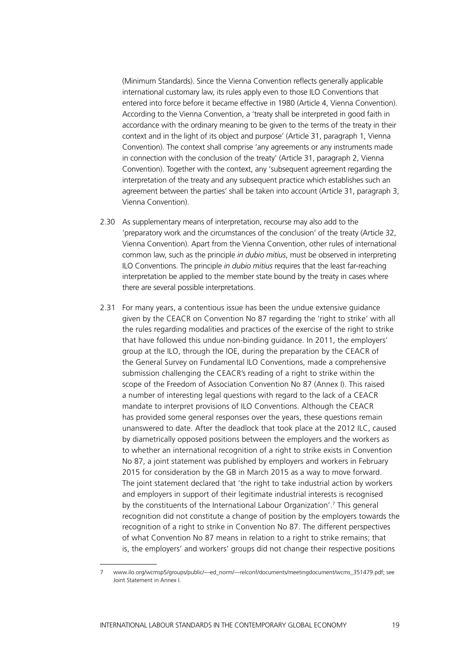(Minimum Standards). Since the Vienna Convention reflects generally applicable international customary law, its rules apply even to those ILO Conventions that entered into force before it became effective in 1980 (Article 4, Vienna Convention). According to the Vienna Convention, a 'treaty shall be interpreted in good faith in accordance with the ordinary meaning to be given to the terms of the treaty in their context and in the light of its object and purpose' (Article 31, paragraph 1, Vienna Convention). The context shall comprise 'any agreements or any instruments made in connection with the conclusion of the treaty' (Article 31, paragraph 2, Vienna Convention). Together with the context, any 'subsequent agreement regarding the interpretation of the treaty and any subsequent practice which establishes such an agreement between the parties' shall be taken into account (Article 31, paragraph 3, Vienna Convention).

- 2.30 As supplementary means of interpretation, recourse may also add to the 'preparatory work and the circumstances of the conclusion' of the treaty (Article 32, Vienna Convention). Apart from the Vienna Convention, other rules of international common law, such as the principle *in dubio mitius*, must be observed in interpreting ILO Conventions. The principle *in dubio mitius* requires that the least far-reaching interpretation be applied to the member state bound by the treaty in cases where there are several possible interpretations.
- 2.31 For many years, a contentious issue has been the undue extensive guidance given by the CEACR on Convention No 87 regarding the 'right to strike' with all the rules regarding modalities and practices of the exercise of the right to strike that have followed this undue non-binding guidance. In 2011, the employers' group at the ILO, through the IOE, during the preparation by the CEACR of the General Survey on Fundamental ILO Conventions, made a comprehensive submission challenging the CEACR's reading of a right to strike within the scope of the Freedom of Association Convention No 87 (Annex I). This raised a number of interesting legal questions with regard to the lack of a CEACR mandate to interpret provisions of ILO Conventions. Although the CEACR has provided some general responses over the years, these questions remain unanswered to date. After the deadlock that took place at the 2012 ILC, caused by diametrically opposed positions between the employers and the workers as to whether an international recognition of a right to strike exists in Convention No 87, a joint statement was published by employers and workers in February 2015 for consideration by the GB in March 2015 as a way to move forward. The joint statement declared that 'the right to take industrial action by workers and employers in support of their legitimate industrial interests is recognised by the constituents of the International Labour Organization'.7 This general recognition did not constitute a change of position by the employers towards the recognition of a right to strike in Convention No 87. The different perspectives of what Convention No 87 means in relation to a right to strike remains; that is, the employers' and workers' groups did not change their respective positions

<sup>7</sup> www.ilo.org/wcmsp5/groups/public/---ed\_norm/---relconf/documents/meetingdocument/wcms\_351479.pdf; see Joint Statement in Annex I.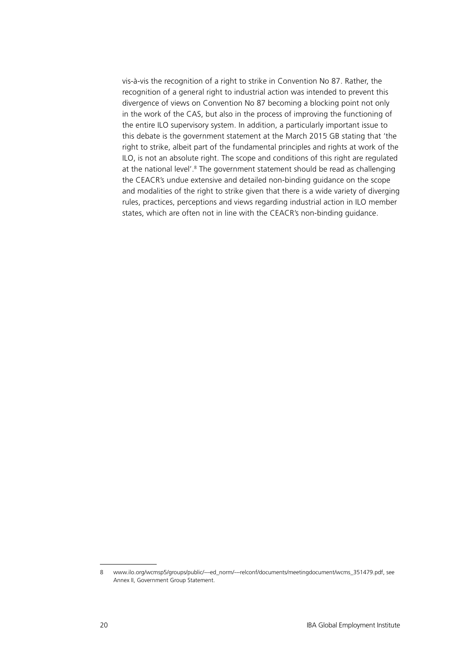vis-à-vis the recognition of a right to strike in Convention No 87. Rather, the recognition of a general right to industrial action was intended to prevent this divergence of views on Convention No 87 becoming a blocking point not only in the work of the CAS, but also in the process of improving the functioning of the entire ILO supervisory system. In addition, a particularly important issue to this debate is the government statement at the March 2015 GB stating that 'the right to strike, albeit part of the fundamental principles and rights at work of the ILO, is not an absolute right. The scope and conditions of this right are regulated at the national level'.<sup>8</sup> The government statement should be read as challenging the CEACR's undue extensive and detailed non-binding guidance on the scope and modalities of the right to strike given that there is a wide variety of diverging rules, practices, perceptions and views regarding industrial action in ILO member states, which are often not in line with the CEACR's non-binding guidance.

<sup>8</sup> www.ilo.org/wcmsp5/groups/public/---ed\_norm/---relconf/documents/meetingdocument/wcms\_351479.pdf, see Annex II, Government Group Statement.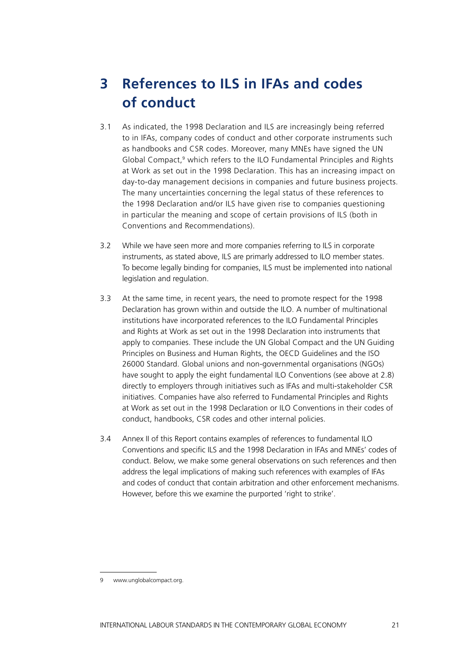# **3 References to ILS in IFAs and codes of conduct**

- 3.1 As indicated, the 1998 Declaration and ILS are increasingly being referred to in IFAs, company codes of conduct and other corporate instruments such as handbooks and CSR codes. Moreover, many MNEs have signed the UN Global Compact,<sup>9</sup> which refers to the ILO Fundamental Principles and Rights at Work as set out in the 1998 Declaration. This has an increasing impact on day-to-day management decisions in companies and future business projects. The many uncertainties concerning the legal status of these references to the 1998 Declaration and/or ILS have given rise to companies questioning in particular the meaning and scope of certain provisions of ILS (both in Conventions and Recommendations).
- 3.2 While we have seen more and more companies referring to ILS in corporate instruments, as stated above, ILS are primarly addressed to ILO member states. To become legally binding for companies, ILS must be implemented into national legislation and regulation.
- 3.3 At the same time, in recent years, the need to promote respect for the 1998 Declaration has grown within and outside the ILO. A number of multinational institutions have incorporated references to the ILO Fundamental Principles and Rights at Work as set out in the 1998 Declaration into instruments that apply to companies. These include the UN Global Compact and the UN Guiding Principles on Business and Human Rights, the OECD Guidelines and the ISO 26000 Standard. Global unions and non-governmental organisations (NGOs) have sought to apply the eight fundamental ILO Conventions (see above at 2.8) directly to employers through initiatives such as IFAs and multi-stakeholder CSR initiatives. Companies have also referred to Fundamental Principles and Rights at Work as set out in the 1998 Declaration or ILO Conventions in their codes of conduct, handbooks, CSR codes and other internal policies.
- 3.4 Annex II of this Report contains examples of references to fundamental ILO Conventions and specific ILS and the 1998 Declaration in IFAs and MNEs' codes of conduct. Below, we make some general observations on such references and then address the legal implications of making such references with examples of IFAs and codes of conduct that contain arbitration and other enforcement mechanisms. However, before this we examine the purported 'right to strike'.

<sup>9</sup> www.unglobalcompact.org.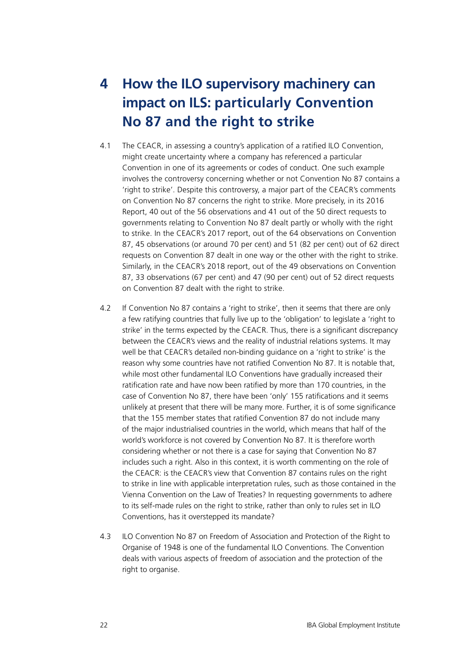# **4 How the ILO supervisory machinery can impact on ILS: particularly Convention No 87 and the right to strike**

- 4.1 The CEACR, in assessing a country's application of a ratified ILO Convention, might create uncertainty where a company has referenced a particular Convention in one of its agreements or codes of conduct. One such example involves the controversy concerning whether or not Convention No 87 contains a 'right to strike'. Despite this controversy, a major part of the CEACR's comments on Convention No 87 concerns the right to strike. More precisely, in its 2016 Report, 40 out of the 56 observations and 41 out of the 50 direct requests to governments relating to Convention No 87 dealt partly or wholly with the right to strike. In the CEACR's 2017 report, out of the 64 observations on Convention 87, 45 observations (or around 70 per cent) and 51 (82 per cent) out of 62 direct requests on Convention 87 dealt in one way or the other with the right to strike. Similarly, in the CEACR's 2018 report, out of the 49 observations on Convention 87, 33 observations (67 per cent) and 47 (90 per cent) out of 52 direct requests on Convention 87 dealt with the right to strike.
- 4.2 If Convention No 87 contains a 'right to strike', then it seems that there are only a few ratifying countries that fully live up to the 'obligation' to legislate a 'right to strike' in the terms expected by the CEACR. Thus, there is a significant discrepancy between the CEACR's views and the reality of industrial relations systems. It may well be that CEACR's detailed non-binding guidance on a 'right to strike' is the reason why some countries have not ratified Convention No 87. It is notable that, while most other fundamental ILO Conventions have gradually increased their ratification rate and have now been ratified by more than 170 countries, in the case of Convention No 87, there have been 'only' 155 ratifications and it seems unlikely at present that there will be many more. Further, it is of some significance that the 155 member states that ratified Convention 87 do not include many of the major industrialised countries in the world, which means that half of the world's workforce is not covered by Convention No 87. It is therefore worth considering whether or not there is a case for saying that Convention No 87 includes such a right. Also in this context, it is worth commenting on the role of the CEACR: is the CEACR's view that Convention 87 contains rules on the right to strike in line with applicable interpretation rules, such as those contained in the Vienna Convention on the Law of Treaties? In requesting governments to adhere to its self-made rules on the right to strike, rather than only to rules set in ILO Conventions, has it overstepped its mandate?
- 4.3 ILO Convention No 87 on Freedom of Association and Protection of the Right to Organise of 1948 is one of the fundamental ILO Conventions. The Convention deals with various aspects of freedom of association and the protection of the right to organise.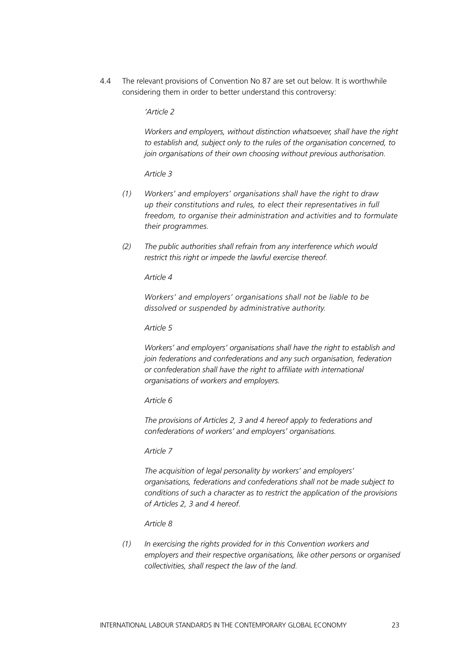4.4 The relevant provisions of Convention No 87 are set out below. It is worthwhile considering them in order to better understand this controversy:

*'Article 2* 

*Workers and employers, without distinction whatsoever, shall have the right to establish and, subject only to the rules of the organisation concerned, to join organisations of their own choosing without previous authorisation.* 

*Article 3* 

- *(1) Workers' and employers' organisations shall have the right to draw up their constitutions and rules, to elect their representatives in full freedom, to organise their administration and activities and to formulate their programmes.*
- *(2) The public authorities shall refrain from any interference which would restrict this right or impede the lawful exercise thereof.*

*Article 4* 

*Workers' and employers' organisations shall not be liable to be dissolved or suspended by administrative authority.* 

*Article 5* 

*Workers' and employers' organisations shall have the right to establish and join federations and confederations and any such organisation, federation or confederation shall have the right to affiliate with international organisations of workers and employers.* 

*Article 6* 

*The provisions of Articles 2, 3 and 4 hereof apply to federations and confederations of workers' and employers' organisations.* 

*Article 7* 

*The acquisition of legal personality by workers' and employers' organisations, federations and confederations shall not be made subject to conditions of such a character as to restrict the application of the provisions of Articles 2, 3 and 4 hereof.* 

*Article 8* 

*(1) In exercising the rights provided for in this Convention workers and employers and their respective organisations, like other persons or organised collectivities, shall respect the law of the land.*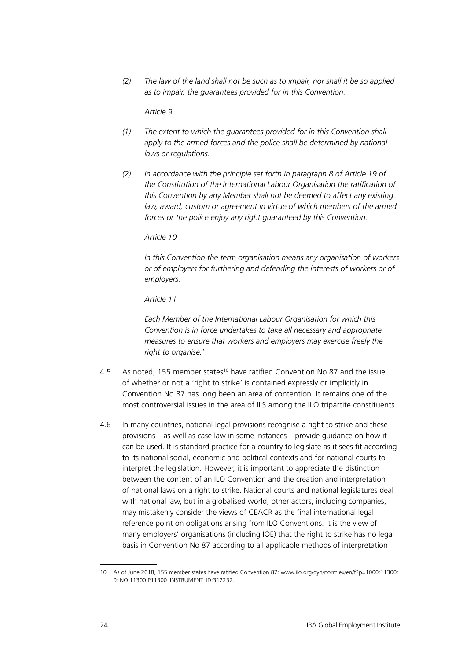*(2) The law of the land shall not be such as to impair, nor shall it be so applied as to impair, the guarantees provided for in this Convention.* 

*Article 9* 

- *(1) The extent to which the guarantees provided for in this Convention shall*  apply to the armed forces and the police shall be determined by national *laws or regulations.*
- *(2) In accordance with the principle set forth in paragraph 8 of Article 19 of the Constitution of the International Labour Organisation the ratification of this Convention by any Member shall not be deemed to affect any existing*  law, award, custom or agreement in virtue of which members of the armed *forces or the police enjoy any right guaranteed by this Convention.*

*Article 10* 

*In this Convention the term organisation means any organisation of workers or of employers for furthering and defending the interests of workers or of employers.* 

*Article 11* 

*Each Member of the International Labour Organisation for which this Convention is in force undertakes to take all necessary and appropriate measures to ensure that workers and employers may exercise freely the right to organise.'* 

- 4.5 As noted, 155 member states10 have ratified Convention No 87 and the issue of whether or not a 'right to strike' is contained expressly or implicitly in Convention No 87 has long been an area of contention. It remains one of the most controversial issues in the area of ILS among the ILO tripartite constituents.
- 4.6 In many countries, national legal provisions recognise a right to strike and these provisions – as well as case law in some instances – provide guidance on how it can be used. It is standard practice for a country to legislate as it sees fit according to its national social, economic and political contexts and for national courts to interpret the legislation. However, it is important to appreciate the distinction between the content of an ILO Convention and the creation and interpretation of national laws on a right to strike. National courts and national legislatures deal with national law, but in a globalised world, other actors, including companies, may mistakenly consider the views of CEACR as the final international legal reference point on obligations arising from ILO Conventions. It is the view of many employers' organisations (including IOE) that the right to strike has no legal basis in Convention No 87 according to all applicable methods of interpretation

<sup>10</sup> As of June 2018, 155 member states have ratified Convention 87: www.ilo.org/dyn/normlex/en/f?p=1000:11300: 0::NO:11300:P11300\_INSTRUMENT\_ID:312232.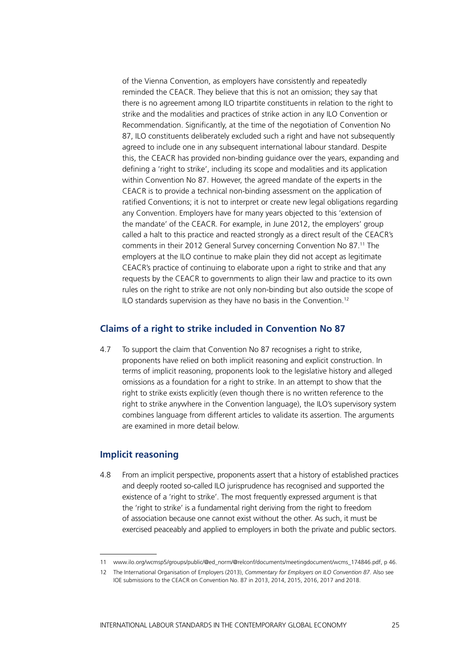of the Vienna Convention, as employers have consistently and repeatedly reminded the CEACR. They believe that this is not an omission; they say that there is no agreement among ILO tripartite constituents in relation to the right to strike and the modalities and practices of strike action in any ILO Convention or Recommendation. Significantly, at the time of the negotiation of Convention No 87, ILO constituents deliberately excluded such a right and have not subsequently agreed to include one in any subsequent international labour standard. Despite this, the CEACR has provided non-binding guidance over the years, expanding and defining a 'right to strike', including its scope and modalities and its application within Convention No 87. However, the agreed mandate of the experts in the CEACR is to provide a technical non-binding assessment on the application of ratified Conventions; it is not to interpret or create new legal obligations regarding any Convention. Employers have for many years objected to this 'extension of the mandate' of the CEACR. For example, in June 2012, the employers' group called a halt to this practice and reacted strongly as a direct result of the CEACR's comments in their 2012 General Survey concerning Convention No 87.11 The employers at the ILO continue to make plain they did not accept as legitimate CEACR's practice of continuing to elaborate upon a right to strike and that any requests by the CEACR to governments to align their law and practice to its own rules on the right to strike are not only non-binding but also outside the scope of ILO standards supervision as they have no basis in the Convention.12

### **Claims of a right to strike included in Convention No 87**

4.7 To support the claim that Convention No 87 recognises a right to strike, proponents have relied on both implicit reasoning and explicit construction. In terms of implicit reasoning, proponents look to the legislative history and alleged omissions as a foundation for a right to strike. In an attempt to show that the right to strike exists explicitly (even though there is no written reference to the right to strike anywhere in the Convention language), the ILO's supervisory system combines language from different articles to validate its assertion. The arguments are examined in more detail below.

### **Implicit reasoning**

4.8 From an implicit perspective, proponents assert that a history of established practices and deeply rooted so-called ILO jurisprudence has recognised and supported the existence of a 'right to strike'. The most frequently expressed argument is that the 'right to strike' is a fundamental right deriving from the right to freedom of association because one cannot exist without the other. As such, it must be exercised peaceably and applied to employers in both the private and public sectors.

<sup>11</sup> www.ilo.org/wcmsp5/groups/public/@ed\_norm/@relconf/documents/meetingdocument/wcms\_174846.pdf, p 46.

<sup>12</sup> The International Organisation of Employers (2013), *Commentary for Employers on ILO Convention 87*. Also see IOE submissions to the CEACR on Convention No. 87 in 2013, 2014, 2015, 2016, 2017 and 2018.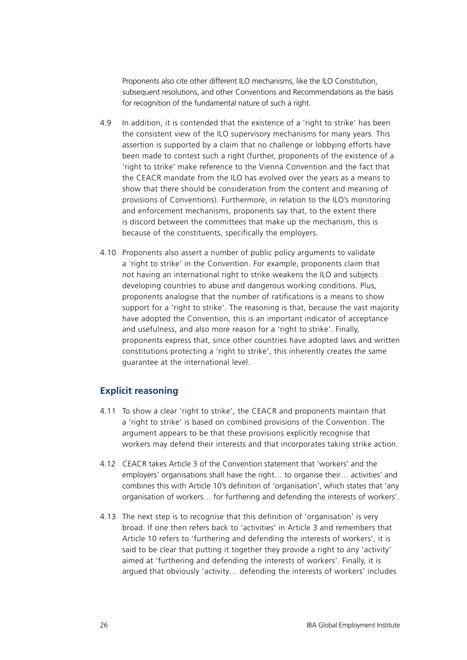Proponents also cite other different ILO mechanisms, like the ILO Constitution, subsequent resolutions, and other Conventions and Recommendations as the basis for recognition of the fundamental nature of such a right.

- 4.9 In addition, it is contended that the existence of a 'right to strike' has been the consistent view of the ILO supervisory mechanisms for many years. This assertion is supported by a claim that no challenge or lobbying efforts have been made to contest such a right (further, proponents of the existence of a 'right to strike' make reference to the Vienna Convention and the fact that the CEACR mandate from the ILO has evolved over the years as a means to show that there should be consideration from the content and meaning of provisions of Conventions). Furthermore, in relation to the ILO's monitoring and enforcement mechanisms, proponents say that, to the extent there is discord between the committees that make up the mechanism, this is because of the constituents, specifically the employers.
- 4.10 Proponents also assert a number of public policy arguments to validate a 'right to strike' in the Convention. For example, proponents claim that not having an international right to strike weakens the ILO and subjects developing countries to abuse and dangerous working conditions. Plus, proponents analogise that the number of ratifications is a means to show support for a 'right to strike'. The reasoning is that, because the vast majority have adopted the Convention, this is an important indicator of acceptance and usefulness, and also more reason for a 'right to strike'. Finally, proponents express that, since other countries have adopted laws and written constitutions protecting a 'right to strike', this inherently creates the same guarantee at the international level.

# **Explicit reasoning**

- 4.11 To show a clear 'right to strike', the CEACR and proponents maintain that a 'right to strike' is based on combined provisions of the Convention. The argument appears to be that these provisions explicitly recognise that workers may defend their interests and that incorporates taking strike action.
- 4.12 CEACR takes Article 3 of the Convention statement that 'workers' and the employers' organisations shall have the right… to organise their… activities' and combines this with Article 10's definition of 'organisation', which states that 'any organisation of workers… for furthering and defending the interests of workers'.
- 4.13 The next step is to recognise that this definition of 'organisation' is very broad. If one then refers back to 'activities' in Article 3 and remembers that Article 10 refers to 'furthering and defending the interests of workers', it is said to be clear that putting it together they provide a right to any 'activity' aimed at 'furthering and defending the interests of workers'. Finally, it is argued that obviously 'activity… defending the interests of workers' includes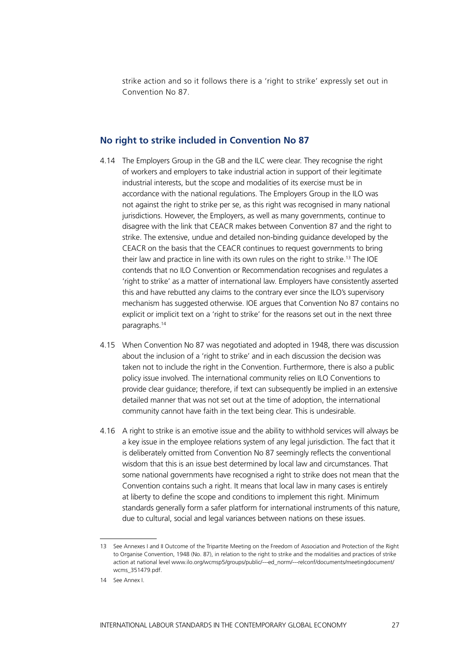strike action and so it follows there is a 'right to strike' expressly set out in Convention No 87.

### **No right to strike included in Convention No 87**

- 4.14 The Employers Group in the GB and the ILC were clear. They recognise the right of workers and employers to take industrial action in support of their legitimate industrial interests, but the scope and modalities of its exercise must be in accordance with the national regulations. The Employers Group in the ILO was not against the right to strike per se, as this right was recognised in many national jurisdictions. However, the Employers, as well as many governments, continue to disagree with the link that CEACR makes between Convention 87 and the right to strike. The extensive, undue and detailed non-binding guidance developed by the CEACR on the basis that the CEACR continues to request governments to bring their law and practice in line with its own rules on the right to strike.13 The IOE contends that no ILO Convention or Recommendation recognises and regulates a 'right to strike' as a matter of international law. Employers have consistently asserted this and have rebutted any claims to the contrary ever since the ILO's supervisory mechanism has suggested otherwise. IOE argues that Convention No 87 contains no explicit or implicit text on a 'right to strike' for the reasons set out in the next three paragraphs.14
- 4.15 When Convention No 87 was negotiated and adopted in 1948, there was discussion about the inclusion of a 'right to strike' and in each discussion the decision was taken not to include the right in the Convention. Furthermore, there is also a public policy issue involved. The international community relies on ILO Conventions to provide clear guidance; therefore, if text can subsequently be implied in an extensive detailed manner that was not set out at the time of adoption, the international community cannot have faith in the text being clear. This is undesirable.
- 4.16 A right to strike is an emotive issue and the ability to withhold services will always be a key issue in the employee relations system of any legal jurisdiction. The fact that it is deliberately omitted from Convention No 87 seemingly reflects the conventional wisdom that this is an issue best determined by local law and circumstances. That some national governments have recognised a right to strike does not mean that the Convention contains such a right. It means that local law in many cases is entirely at liberty to define the scope and conditions to implement this right. Minimum standards generally form a safer platform for international instruments of this nature, due to cultural, social and legal variances between nations on these issues.

<sup>13</sup> See Annexes I and II Outcome of the Tripartite Meeting on the Freedom of Association and Protection of the Right to Organise Convention, 1948 (No. 87), in relation to the right to strike and the modalities and practices of strike action at national level www.ilo.org/wcmsp5/groups/public/---ed\_norm/---relconf/documents/meetingdocument/ wcms\_351479.pdf.

<sup>14</sup> See Annex I.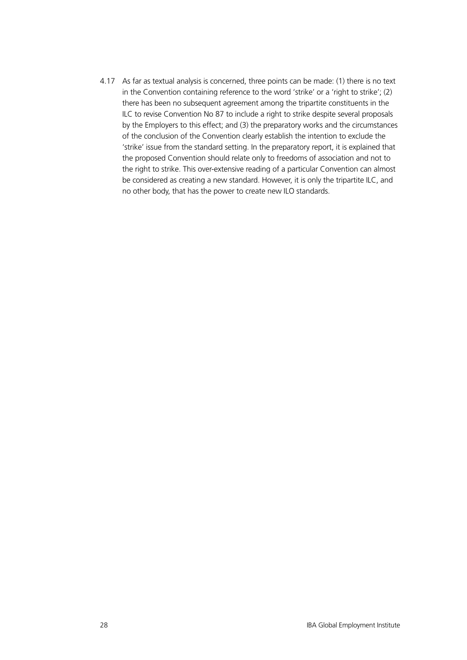4.17 As far as textual analysis is concerned, three points can be made: (1) there is no text in the Convention containing reference to the word 'strike' or a 'right to strike'; (2) there has been no subsequent agreement among the tripartite constituents in the ILC to revise Convention No 87 to include a right to strike despite several proposals by the Employers to this effect; and (3) the preparatory works and the circumstances of the conclusion of the Convention clearly establish the intention to exclude the 'strike' issue from the standard setting. In the preparatory report, it is explained that the proposed Convention should relate only to freedoms of association and not to the right to strike. This over-extensive reading of a particular Convention can almost be considered as creating a new standard. However, it is only the tripartite ILC, and no other body, that has the power to create new ILO standards.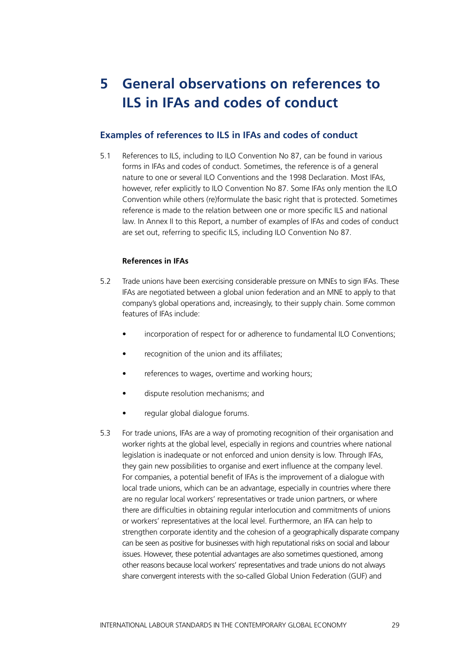# **5 General observations on references to ILS in IFAs and codes of conduct**

# **Examples of references to ILS in IFAs and codes of conduct**

5.1 References to ILS, including to ILO Convention No 87, can be found in various forms in IFAs and codes of conduct. Sometimes, the reference is of a general nature to one or several ILO Conventions and the 1998 Declaration. Most IFAs, however, refer explicitly to ILO Convention No 87. Some IFAs only mention the ILO Convention while others (re)formulate the basic right that is protected. Sometimes reference is made to the relation between one or more specific ILS and national law. In Annex II to this Report, a number of examples of IFAs and codes of conduct are set out, referring to specific ILS, including ILO Convention No 87.

### **References in IFAs**

- 5.2 Trade unions have been exercising considerable pressure on MNEs to sign IFAs. These IFAs are negotiated between a global union federation and an MNE to apply to that company's global operations and, increasingly, to their supply chain. Some common features of IFAs include:
	- incorporation of respect for or adherence to fundamental ILO Conventions;
	- recognition of the union and its affiliates;
	- references to wages, overtime and working hours;
	- dispute resolution mechanisms; and
	- regular global dialogue forums.
- 5.3 For trade unions, IFAs are a way of promoting recognition of their organisation and worker rights at the global level, especially in regions and countries where national legislation is inadequate or not enforced and union density is low. Through IFAs, they gain new possibilities to organise and exert influence at the company level. For companies, a potential benefit of IFAs is the improvement of a dialogue with local trade unions, which can be an advantage, especially in countries where there are no regular local workers' representatives or trade union partners, or where there are difficulties in obtaining regular interlocution and commitments of unions or workers' representatives at the local level. Furthermore, an IFA can help to strengthen corporate identity and the cohesion of a geographically disparate company can be seen as positive for businesses with high reputational risks on social and labour issues. However, these potential advantages are also sometimes questioned, among other reasons because local workers' representatives and trade unions do not always share convergent interests with the so-called Global Union Federation (GUF) and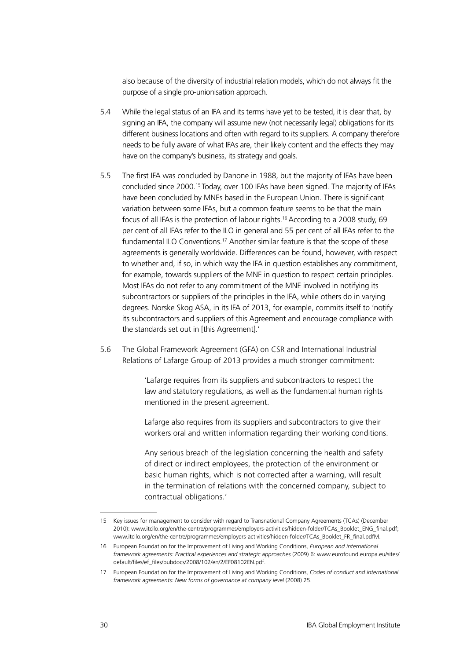also because of the diversity of industrial relation models, which do not always fit the purpose of a single pro-unionisation approach.

- 5.4 While the legal status of an IFA and its terms have yet to be tested, it is clear that, by signing an IFA, the company will assume new (not necessarily legal) obligations for its different business locations and often with regard to its suppliers. A company therefore needs to be fully aware of what IFAs are, their likely content and the effects they may have on the company's business, its strategy and goals.
- 5.5 The first IFA was concluded by Danone in 1988, but the majority of IFAs have been concluded since 2000.15 Today, over 100 IFAs have been signed. The majority of IFAs have been concluded by MNEs based in the European Union. There is significant variation between some IFAs, but a common feature seems to be that the main focus of all IFAs is the protection of labour rights.<sup>16</sup> According to a 2008 study, 69 per cent of all IFAs refer to the ILO in general and 55 per cent of all IFAs refer to the fundamental ILO Conventions.<sup>17</sup> Another similar feature is that the scope of these agreements is generally worldwide. Differences can be found, however, with respect to whether and, if so, in which way the IFA in question establishes any commitment, for example, towards suppliers of the MNE in question to respect certain principles. Most IFAs do not refer to any commitment of the MNE involved in notifying its subcontractors or suppliers of the principles in the IFA, while others do in varying degrees. Norske Skog ASA, in its IFA of 2013, for example, commits itself to 'notify its subcontractors and suppliers of this Agreement and encourage compliance with the standards set out in [this Agreement].'
- 5.6 The Global Framework Agreement (GFA) on CSR and International Industrial Relations of Lafarge Group of 2013 provides a much stronger commitment:

'Lafarge requires from its suppliers and subcontractors to respect the law and statutory regulations, as well as the fundamental human rights mentioned in the present agreement.

Lafarge also requires from its suppliers and subcontractors to give their workers oral and written information regarding their working conditions.

Any serious breach of the legislation concerning the health and safety of direct or indirect employees, the protection of the environment or basic human rights, which is not corrected after a warning, will result in the termination of relations with the concerned company, subject to contractual obligations.'

<sup>15</sup> Key issues for management to consider with regard to Transnational Company Agreements (TCAs) (December 2010): www.itcilo.org/en/the-centre/programmes/employers-activities/hidden-folder/TCAs\_Booklet\_ENG\_final.pdf; www.itcilo.org/en/the-centre/programmes/employers-activities/hidden-folder/TCAs\_Booklet\_FR\_final.pdfM.

<sup>16</sup> European Foundation for the Improvement of Living and Working Conditions, *European and international framework agreements: Practical experiences and strategic approaches* (2009) 6: www.eurofound.europa.eu/sites/ default/files/ef\_files/pubdocs/2008/102/en/2/EF08102EN.pdf.

<sup>17</sup> European Foundation for the Improvement of Living and Working Conditions, *Codes of conduct and international framework agreements: New forms of governance at company level* (2008) 25.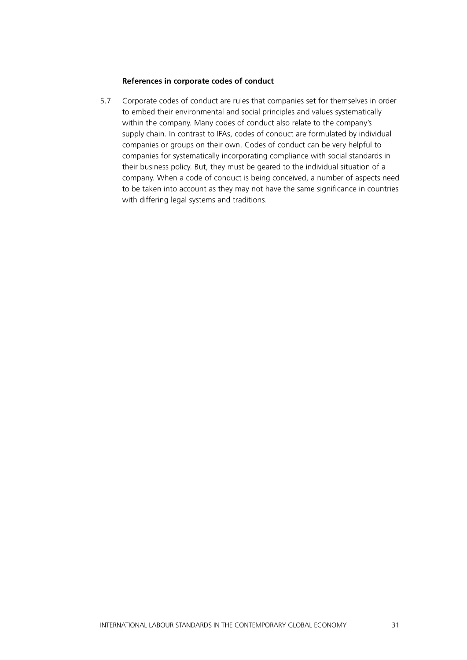### **References in corporate codes of conduct**

5.7 Corporate codes of conduct are rules that companies set for themselves in order to embed their environmental and social principles and values systematically within the company. Many codes of conduct also relate to the company's supply chain. In contrast to IFAs, codes of conduct are formulated by individual companies or groups on their own. Codes of conduct can be very helpful to companies for systematically incorporating compliance with social standards in their business policy. But, they must be geared to the individual situation of a company. When a code of conduct is being conceived, a number of aspects need to be taken into account as they may not have the same significance in countries with differing legal systems and traditions.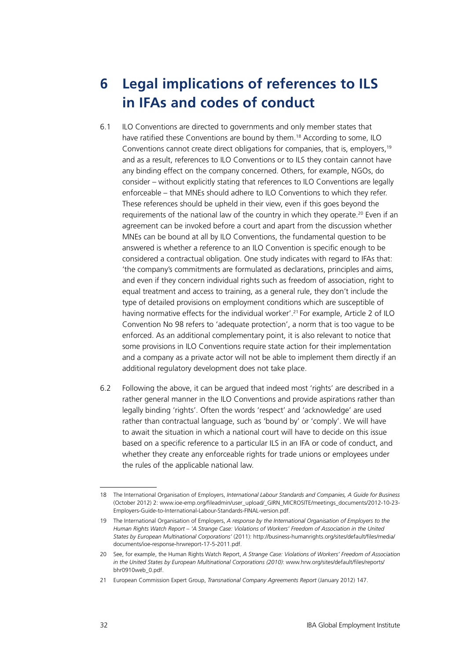# **6 Legal implications of references to ILS in IFAs and codes of conduct**

- 6.1 ILO Conventions are directed to governments and only member states that have ratified these Conventions are bound by them.<sup>18</sup> According to some, ILO Conventions cannot create direct obligations for companies, that is, employers,<sup>19</sup> and as a result, references to ILO Conventions or to ILS they contain cannot have any binding effect on the company concerned. Others, for example, NGOs, do consider – without explicitly stating that references to ILO Conventions are legally enforceable – that MNEs should adhere to ILO Conventions to which they refer. These references should be upheld in their view, even if this goes beyond the requirements of the national law of the country in which they operate.<sup>20</sup> Even if an agreement can be invoked before a court and apart from the discussion whether MNEs can be bound at all by ILO Conventions, the fundamental question to be answered is whether a reference to an ILO Convention is specific enough to be considered a contractual obligation. One study indicates with regard to IFAs that: 'the company's commitments are formulated as declarations, principles and aims, and even if they concern individual rights such as freedom of association, right to equal treatment and access to training, as a general rule, they don't include the type of detailed provisions on employment conditions which are susceptible of having normative effects for the individual worker'.<sup>21</sup> For example, Article 2 of ILO Convention No 98 refers to 'adequate protection', a norm that is too vague to be enforced. As an additional complementary point, it is also relevant to notice that some provisions in ILO Conventions require state action for their implementation and a company as a private actor will not be able to implement them directly if an additional regulatory development does not take place.
- 6.2 Following the above, it can be argued that indeed most 'rights' are described in a rather general manner in the ILO Conventions and provide aspirations rather than legally binding 'rights'. Often the words 'respect' and 'acknowledge' are used rather than contractual language, such as 'bound by' or 'comply'. We will have to await the situation in which a national court will have to decide on this issue based on a specific reference to a particular ILS in an IFA or code of conduct, and whether they create any enforceable rights for trade unions or employees under the rules of the applicable national law.

<sup>18</sup> The International Organisation of Employers, *International Labour Standards and Companies, A Guide for Business*  (October 2012) 2: www.ioe-emp.org/fileadmin/user\_upload/\_GIRN\_MICROSITE/meetings\_documents/2012-10-23- Employers-Guide-to-International-Labour-Standards-FINAL-version.pdf.

<sup>19</sup> The International Organisation of Employers, *A response by the International Organisation of Employers to the Human Rights Watch Report – 'A Strange Case: Violations of Workers' Freedom of Association in the United States by European Multinational Corporations'* (2011): http://business-humanrights.org/sites/default/files/media/ documents/ioe-response-hrwreport-17-5-2011.pdf.

<sup>20</sup> See, for example, the Human Rights Watch Report, *A Strange Case: Violations of Workers' Freedom of Association in the United States by European Multinational Corporations (2010)*: www.hrw.org/sites/default/files/reports/ bhr0910web\_0.pdf.

<sup>21</sup> European Commission Expert Group, *Transnational Company Agreements Report* (January 2012) 147.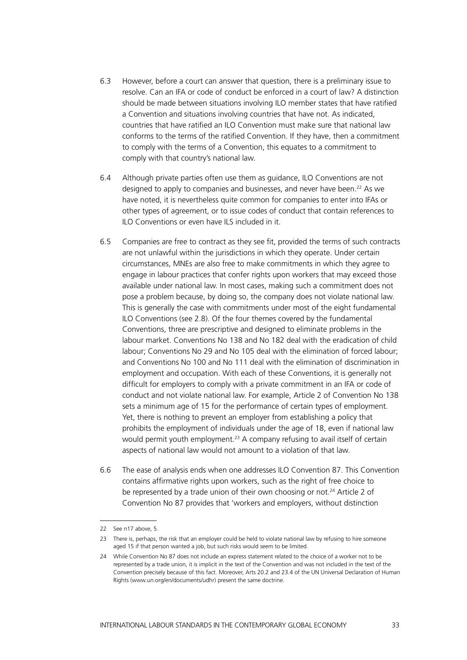- 6.3 However, before a court can answer that question, there is a preliminary issue to resolve. Can an IFA or code of conduct be enforced in a court of law? A distinction should be made between situations involving ILO member states that have ratified a Convention and situations involving countries that have not. As indicated, countries that have ratified an ILO Convention must make sure that national law conforms to the terms of the ratified Convention. If they have, then a commitment to comply with the terms of a Convention, this equates to a commitment to comply with that country's national law.
- 6.4 Although private parties often use them as guidance, ILO Conventions are not designed to apply to companies and businesses, and never have been.<sup>22</sup> As we have noted, it is nevertheless quite common for companies to enter into IFAs or other types of agreement, or to issue codes of conduct that contain references to ILO Conventions or even have ILS included in it.
- 6.5 Companies are free to contract as they see fit, provided the terms of such contracts are not unlawful within the jurisdictions in which they operate. Under certain circumstances, MNEs are also free to make commitments in which they agree to engage in labour practices that confer rights upon workers that may exceed those available under national law. In most cases, making such a commitment does not pose a problem because, by doing so, the company does not violate national law. This is generally the case with commitments under most of the eight fundamental ILO Conventions (see 2.8). Of the four themes covered by the fundamental Conventions, three are prescriptive and designed to eliminate problems in the labour market. Conventions No 138 and No 182 deal with the eradication of child labour; Conventions No 29 and No 105 deal with the elimination of forced labour; and Conventions No 100 and No 111 deal with the elimination of discrimination in employment and occupation. With each of these Conventions, it is generally not difficult for employers to comply with a private commitment in an IFA or code of conduct and not violate national law. For example, Article 2 of Convention No 138 sets a minimum age of 15 for the performance of certain types of employment. Yet, there is nothing to prevent an employer from establishing a policy that prohibits the employment of individuals under the age of 18, even if national law would permit youth employment.<sup>23</sup> A company refusing to avail itself of certain aspects of national law would not amount to a violation of that law.
- 6.6 The ease of analysis ends when one addresses ILO Convention 87. This Convention contains affirmative rights upon workers, such as the right of free choice to be represented by a trade union of their own choosing or not.<sup>24</sup> Article 2 of Convention No 87 provides that 'workers and employers, without distinction

<sup>22</sup> See n17 above, 5.

<sup>23</sup> There is, perhaps, the risk that an employer could be held to violate national law by refusing to hire someone aged 15 if that person wanted a job, but such risks would seem to be limited.

<sup>24</sup> While Convention No 87 does not include an express statement related to the choice of a worker not to be represented by a trade union, it is implicit in the text of the Convention and was not included in the text of the Convention precisely because of this fact. Moreover, Arts 20.2 and 23.4 of the UN Universal Declaration of Human Rights (www.un.org/en/documents/udhr) present the same doctrine.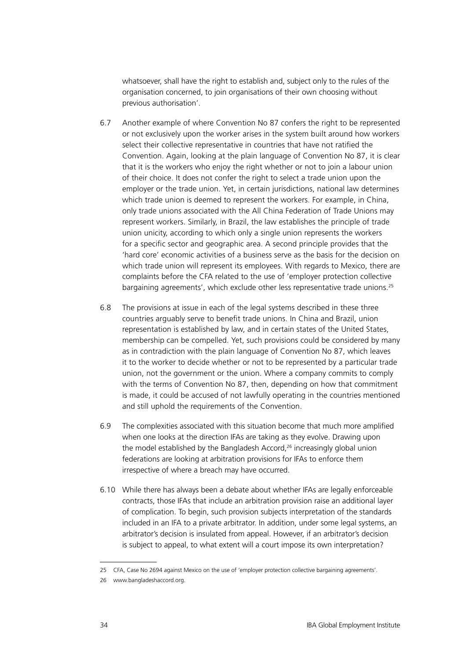whatsoever, shall have the right to establish and, subject only to the rules of the organisation concerned, to join organisations of their own choosing without previous authorisation'.

- 6.7 Another example of where Convention No 87 confers the right to be represented or not exclusively upon the worker arises in the system built around how workers select their collective representative in countries that have not ratified the Convention. Again, looking at the plain language of Convention No 87, it is clear that it is the workers who enjoy the right whether or not to join a labour union of their choice. It does not confer the right to select a trade union upon the employer or the trade union. Yet, in certain jurisdictions, national law determines which trade union is deemed to represent the workers. For example, in China, only trade unions associated with the All China Federation of Trade Unions may represent workers. Similarly, in Brazil, the law establishes the principle of trade union unicity, according to which only a single union represents the workers for a specific sector and geographic area. A second principle provides that the 'hard core' economic activities of a business serve as the basis for the decision on which trade union will represent its employees. With regards to Mexico, there are complaints before the CFA related to the use of 'employer protection collective bargaining agreements', which exclude other less representative trade unions.25
- 6.8 The provisions at issue in each of the legal systems described in these three countries arguably serve to benefit trade unions. In China and Brazil, union representation is established by law, and in certain states of the United States, membership can be compelled. Yet, such provisions could be considered by many as in contradiction with the plain language of Convention No 87, which leaves it to the worker to decide whether or not to be represented by a particular trade union, not the government or the union. Where a company commits to comply with the terms of Convention No 87, then, depending on how that commitment is made, it could be accused of not lawfully operating in the countries mentioned and still uphold the requirements of the Convention.
- 6.9 The complexities associated with this situation become that much more amplified when one looks at the direction IFAs are taking as they evolve. Drawing upon the model established by the Bangladesh Accord,<sup>26</sup> increasingly global union federations are looking at arbitration provisions for IFAs to enforce them irrespective of where a breach may have occurred.
- 6.10 While there has always been a debate about whether IFAs are legally enforceable contracts, those IFAs that include an arbitration provision raise an additional layer of complication. To begin, such provision subjects interpretation of the standards included in an IFA to a private arbitrator. In addition, under some legal systems, an arbitrator's decision is insulated from appeal. However, if an arbitrator's decision is subject to appeal, to what extent will a court impose its own interpretation?

<sup>25</sup> CFA, Case No 2694 against Mexico on the use of 'employer protection collective bargaining agreements'.

<sup>26</sup> www.bangladeshaccord.org.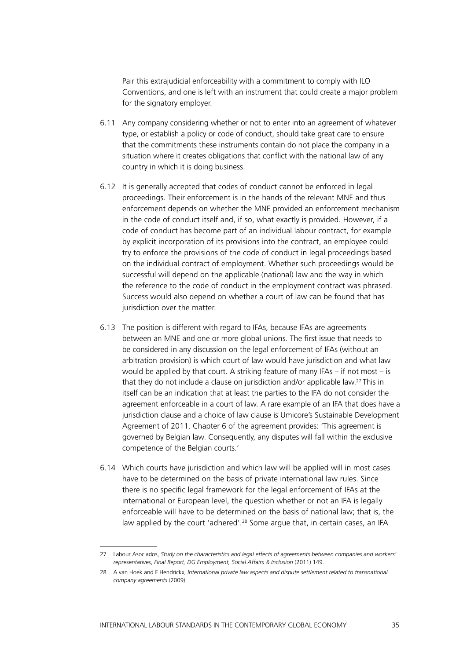Pair this extrajudicial enforceability with a commitment to comply with ILO Conventions, and one is left with an instrument that could create a major problem for the signatory employer.

- 6.11 Any company considering whether or not to enter into an agreement of whatever type, or establish a policy or code of conduct, should take great care to ensure that the commitments these instruments contain do not place the company in a situation where it creates obligations that conflict with the national law of any country in which it is doing business.
- 6.12 It is generally accepted that codes of conduct cannot be enforced in legal proceedings. Their enforcement is in the hands of the relevant MNE and thus enforcement depends on whether the MNE provided an enforcement mechanism in the code of conduct itself and, if so, what exactly is provided. However, if a code of conduct has become part of an individual labour contract, for example by explicit incorporation of its provisions into the contract, an employee could try to enforce the provisions of the code of conduct in legal proceedings based on the individual contract of employment. Whether such proceedings would be successful will depend on the applicable (national) law and the way in which the reference to the code of conduct in the employment contract was phrased. Success would also depend on whether a court of law can be found that has jurisdiction over the matter.
- 6.13 The position is different with regard to IFAs, because IFAs are agreements between an MNE and one or more global unions. The first issue that needs to be considered in any discussion on the legal enforcement of IFAs (without an arbitration provision) is which court of law would have jurisdiction and what law would be applied by that court. A striking feature of many IFAs – if not most – is that they do not include a clause on jurisdiction and/or applicable law.27 This in itself can be an indication that at least the parties to the IFA do not consider the agreement enforceable in a court of law. A rare example of an IFA that does have a jurisdiction clause and a choice of law clause is Umicore's Sustainable Development Agreement of 2011. Chapter 6 of the agreement provides: 'This agreement is governed by Belgian law. Consequently, any disputes will fall within the exclusive competence of the Belgian courts.'
- 6.14 Which courts have jurisdiction and which law will be applied will in most cases have to be determined on the basis of private international law rules. Since there is no specific legal framework for the legal enforcement of IFAs at the international or European level, the question whether or not an IFA is legally enforceable will have to be determined on the basis of national law; that is, the law applied by the court 'adhered'.<sup>28</sup> Some argue that, in certain cases, an IFA

<sup>27</sup> Labour Asociados, *Study on the characteristics and legal effects of agreements between companies and workers' representatives*, *Final Report, DG Employment, Social Affairs & Inclusion* (2011) 149.

<sup>28</sup> A van Hoek and F Hendrickx, *International private law aspects and dispute settlement related to transnational company agreements* (2009).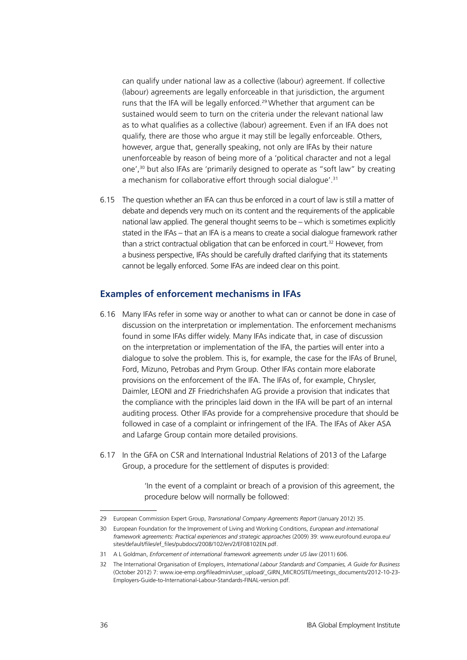can qualify under national law as a collective (labour) agreement. If collective (labour) agreements are legally enforceable in that jurisdiction, the argument runs that the IFA will be legally enforced.29 Whether that argument can be sustained would seem to turn on the criteria under the relevant national law as to what qualifies as a collective (labour) agreement. Even if an IFA does not qualify, there are those who argue it may still be legally enforceable. Others, however, argue that, generally speaking, not only are IFAs by their nature unenforceable by reason of being more of a 'political character and not a legal one',30 but also IFAs are 'primarily designed to operate as "soft law" by creating a mechanism for collaborative effort through social dialogue'.31

6.15 The question whether an IFA can thus be enforced in a court of law is still a matter of debate and depends very much on its content and the requirements of the applicable national law applied. The general thought seems to be – which is sometimes explicitly stated in the IFAs – that an IFA is a means to create a social dialogue framework rather than a strict contractual obligation that can be enforced in court.<sup>32</sup> However, from a business perspective, IFAs should be carefully drafted clarifying that its statements cannot be legally enforced. Some IFAs are indeed clear on this point.

### **Examples of enforcement mechanisms in IFAs**

- 6.16 Many IFAs refer in some way or another to what can or cannot be done in case of discussion on the interpretation or implementation. The enforcement mechanisms found in some IFAs differ widely. Many IFAs indicate that, in case of discussion on the interpretation or implementation of the IFA, the parties will enter into a dialogue to solve the problem. This is, for example, the case for the IFAs of Brunel, Ford, Mizuno, Petrobas and Prym Group. Other IFAs contain more elaborate provisions on the enforcement of the IFA. The IFAs of, for example, Chrysler, Daimler, LEONI and ZF Friedrichshafen AG provide a provision that indicates that the compliance with the principles laid down in the IFA will be part of an internal auditing process. Other IFAs provide for a comprehensive procedure that should be followed in case of a complaint or infringement of the IFA. The IFAs of Aker ASA and Lafarge Group contain more detailed provisions.
- 6.17 In the GFA on CSR and International Industrial Relations of 2013 of the Lafarge Group, a procedure for the settlement of disputes is provided:

'In the event of a complaint or breach of a provision of this agreement, the procedure below will normally be followed:

<sup>29</sup> European Commission Expert Group, *Transnational Company Agreements Report* (January 2012) 35.

<sup>30</sup> European Foundation for the Improvement of Living and Working Conditions, *European and international framework agreements: Practical experiences and strategic approaches* (2009) 39: www.eurofound.europa.eu/ sites/default/files/ef\_files/pubdocs/2008/102/en/2/EF08102EN.pdf.

<sup>31</sup> A L Goldman, *Enforcement of international framework agreements under US law* (2011) 606.

<sup>32</sup> The International Organisation of Employers, *International Labour Standards and Companies, A Guide for Business*  (October 2012) 7: www.ioe-emp.org/fileadmin/user\_upload/\_GIRN\_MICROSITE/meetings\_documents/2012-10-23- Employers-Guide-to-International-Labour-Standards-FINAL-version.pdf.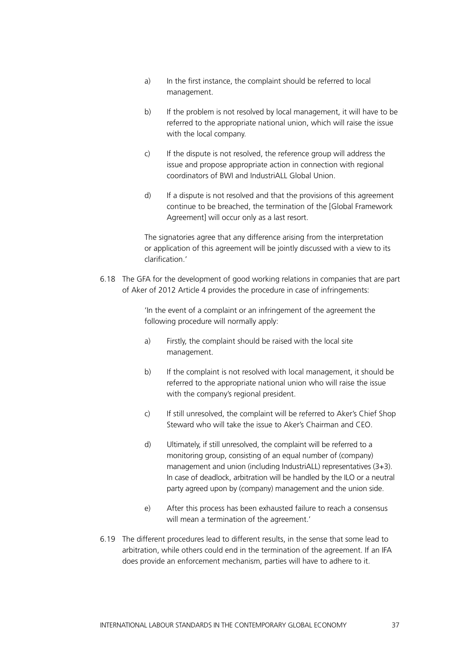- a) In the first instance, the complaint should be referred to local management.
- b) If the problem is not resolved by local management, it will have to be referred to the appropriate national union, which will raise the issue with the local company.
- c) If the dispute is not resolved, the reference group will address the issue and propose appropriate action in connection with regional coordinators of BWI and IndustriALL Global Union.
- d) If a dispute is not resolved and that the provisions of this agreement continue to be breached, the termination of the [Global Framework Agreement] will occur only as a last resort.

The signatories agree that any difference arising from the interpretation or application of this agreement will be jointly discussed with a view to its clarification.'

6.18 The GFA for the development of good working relations in companies that are part of Aker of 2012 Article 4 provides the procedure in case of infringements:

> 'In the event of a complaint or an infringement of the agreement the following procedure will normally apply:

- a) Firstly, the complaint should be raised with the local site management.
- b) If the complaint is not resolved with local management, it should be referred to the appropriate national union who will raise the issue with the company's regional president.
- c) If still unresolved, the complaint will be referred to Aker's Chief Shop Steward who will take the issue to Aker's Chairman and CEO.
- d) Ultimately, if still unresolved, the complaint will be referred to a monitoring group, consisting of an equal number of (company) management and union (including IndustriALL) representatives (3+3). In case of deadlock, arbitration will be handled by the ILO or a neutral party agreed upon by (company) management and the union side.
- e) After this process has been exhausted failure to reach a consensus will mean a termination of the agreement.'
- 6.19 The different procedures lead to different results, in the sense that some lead to arbitration, while others could end in the termination of the agreement. If an IFA does provide an enforcement mechanism, parties will have to adhere to it.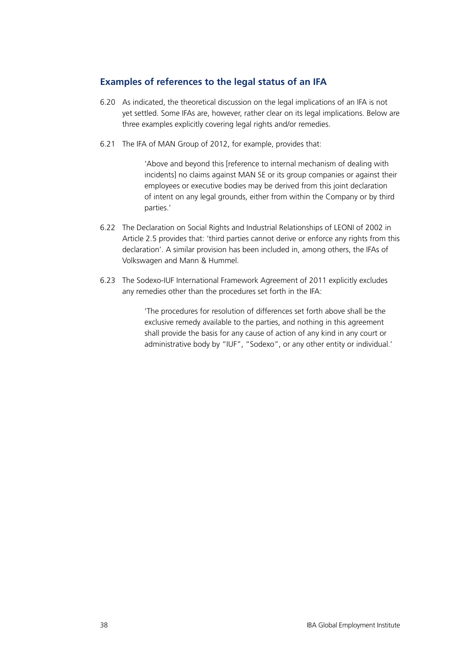# **Examples of references to the legal status of an IFA**

- 6.20 As indicated, the theoretical discussion on the legal implications of an IFA is not yet settled. Some IFAs are, however, rather clear on its legal implications. Below are three examples explicitly covering legal rights and/or remedies.
- 6.21 The IFA of MAN Group of 2012, for example, provides that:

'Above and beyond this [reference to internal mechanism of dealing with incidents] no claims against MAN SE or its group companies or against their employees or executive bodies may be derived from this joint declaration of intent on any legal grounds, either from within the Company or by third parties.'

- 6.22 The Declaration on Social Rights and Industrial Relationships of LEONI of 2002 in Article 2.5 provides that: 'third parties cannot derive or enforce any rights from this declaration'. A similar provision has been included in, among others, the IFAs of Volkswagen and Mann & Hummel.
- 6.23 The Sodexo-IUF International Framework Agreement of 2011 explicitly excludes any remedies other than the procedures set forth in the IFA:

'The procedures for resolution of differences set forth above shall be the exclusive remedy available to the parties, and nothing in this agreement shall provide the basis for any cause of action of any kind in any court or administrative body by "IUF", "Sodexo", or any other entity or individual.'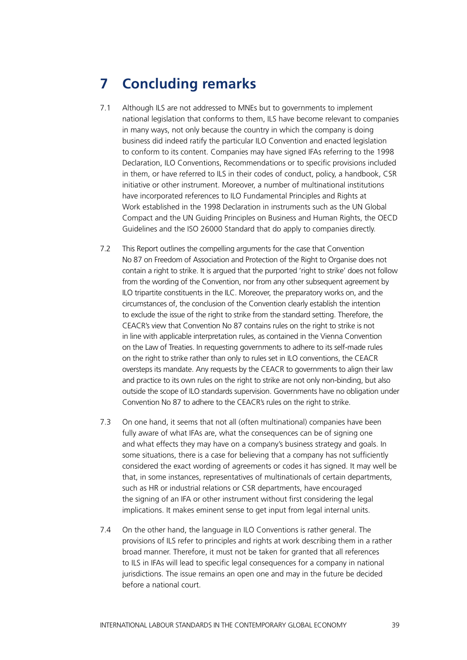# **7 Concluding remarks**

- 7.1 Although ILS are not addressed to MNEs but to governments to implement national legislation that conforms to them, ILS have become relevant to companies in many ways, not only because the country in which the company is doing business did indeed ratify the particular ILO Convention and enacted legislation to conform to its content. Companies may have signed IFAs referring to the 1998 Declaration, ILO Conventions, Recommendations or to specific provisions included in them, or have referred to ILS in their codes of conduct, policy, a handbook, CSR initiative or other instrument. Moreover, a number of multinational institutions have incorporated references to ILO Fundamental Principles and Rights at Work established in the 1998 Declaration in instruments such as the UN Global Compact and the UN Guiding Principles on Business and Human Rights, the OECD Guidelines and the ISO 26000 Standard that do apply to companies directly.
- 7.2 This Report outlines the compelling arguments for the case that Convention No 87 on Freedom of Association and Protection of the Right to Organise does not contain a right to strike. It is argued that the purported 'right to strike' does not follow from the wording of the Convention, nor from any other subsequent agreement by ILO tripartite constituents in the ILC. Moreover, the preparatory works on, and the circumstances of, the conclusion of the Convention clearly establish the intention to exclude the issue of the right to strike from the standard setting. Therefore, the CEACR's view that Convention No 87 contains rules on the right to strike is not in line with applicable interpretation rules, as contained in the Vienna Convention on the Law of Treaties. In requesting governments to adhere to its self-made rules on the right to strike rather than only to rules set in ILO conventions, the CEACR oversteps its mandate. Any requests by the CEACR to governments to align their law and practice to its own rules on the right to strike are not only non-binding, but also outside the scope of ILO standards supervision. Governments have no obligation under Convention No 87 to adhere to the CEACR's rules on the right to strike.
- 7.3 On one hand, it seems that not all (often multinational) companies have been fully aware of what IFAs are, what the consequences can be of signing one and what effects they may have on a company's business strategy and goals. In some situations, there is a case for believing that a company has not sufficiently considered the exact wording of agreements or codes it has signed. It may well be that, in some instances, representatives of multinationals of certain departments, such as HR or industrial relations or CSR departments, have encouraged the signing of an IFA or other instrument without first considering the legal implications. It makes eminent sense to get input from legal internal units.
- 7.4 On the other hand, the language in ILO Conventions is rather general. The provisions of ILS refer to principles and rights at work describing them in a rather broad manner. Therefore, it must not be taken for granted that all references to ILS in IFAs will lead to specific legal consequences for a company in national jurisdictions. The issue remains an open one and may in the future be decided before a national court.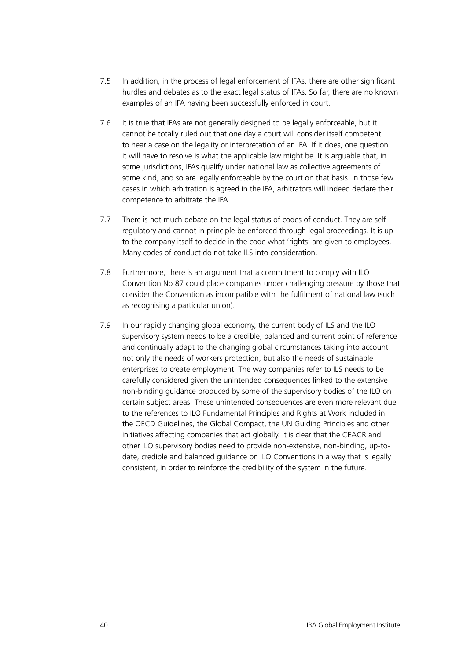- 7.5 In addition, in the process of legal enforcement of IFAs, there are other significant hurdles and debates as to the exact legal status of IFAs. So far, there are no known examples of an IFA having been successfully enforced in court.
- 7.6 It is true that IFAs are not generally designed to be legally enforceable, but it cannot be totally ruled out that one day a court will consider itself competent to hear a case on the legality or interpretation of an IFA. If it does, one question it will have to resolve is what the applicable law might be. It is arguable that, in some jurisdictions, IFAs qualify under national law as collective agreements of some kind, and so are legally enforceable by the court on that basis. In those few cases in which arbitration is agreed in the IFA, arbitrators will indeed declare their competence to arbitrate the IFA.
- 7.7 There is not much debate on the legal status of codes of conduct. They are selfregulatory and cannot in principle be enforced through legal proceedings. It is up to the company itself to decide in the code what 'rights' are given to employees. Many codes of conduct do not take ILS into consideration.
- 7.8 Furthermore, there is an argument that a commitment to comply with ILO Convention No 87 could place companies under challenging pressure by those that consider the Convention as incompatible with the fulfilment of national law (such as recognising a particular union).
- 7.9 In our rapidly changing global economy, the current body of ILS and the ILO supervisory system needs to be a credible, balanced and current point of reference and continually adapt to the changing global circumstances taking into account not only the needs of workers protection, but also the needs of sustainable enterprises to create employment. The way companies refer to ILS needs to be carefully considered given the unintended consequences linked to the extensive non-binding guidance produced by some of the supervisory bodies of the ILO on certain subject areas. These unintended consequences are even more relevant due to the references to ILO Fundamental Principles and Rights at Work included in the OECD Guidelines, the Global Compact, the UN Guiding Principles and other initiatives affecting companies that act globally. It is clear that the CEACR and other ILO supervisory bodies need to provide non-extensive, non-binding, up-todate, credible and balanced guidance on ILO Conventions in a way that is legally consistent, in order to reinforce the credibility of the system in the future.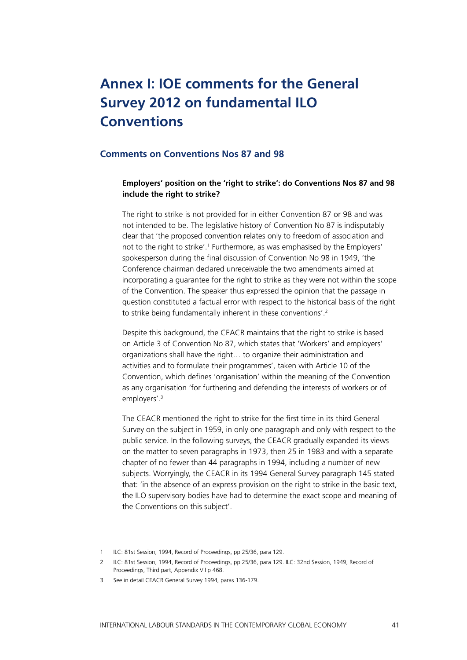# **Annex I: IOE comments for the General Survey 2012 on fundamental ILO Conventions**

# **Comments on Conventions Nos 87 and 98**

### **Employers' position on the 'right to strike': do Conventions Nos 87 and 98 include the right to strike?**

The right to strike is not provided for in either Convention 87 or 98 and was not intended to be. The legislative history of Convention No 87 is indisputably clear that 'the proposed convention relates only to freedom of association and not to the right to strike'.<sup>1</sup> Furthermore, as was emphasised by the Employers' spokesperson during the final discussion of Convention No 98 in 1949, 'the Conference chairman declared unreceivable the two amendments aimed at incorporating a guarantee for the right to strike as they were not within the scope of the Convention. The speaker thus expressed the opinion that the passage in question constituted a factual error with respect to the historical basis of the right to strike being fundamentally inherent in these conventions'.2

Despite this background, the CEACR maintains that the right to strike is based on Article 3 of Convention No 87, which states that 'Workers' and employers' organizations shall have the right… to organize their administration and activities and to formulate their programmes', taken with Article 10 of the Convention, which defines 'organisation' within the meaning of the Convention as any organisation 'for furthering and defending the interests of workers or of employers'.3

The CEACR mentioned the right to strike for the first time in its third General Survey on the subject in 1959, in only one paragraph and only with respect to the public service. In the following surveys, the CEACR gradually expanded its views on the matter to seven paragraphs in 1973, then 25 in 1983 and with a separate chapter of no fewer than 44 paragraphs in 1994, including a number of new subjects. Worryingly, the CEACR in its 1994 General Survey paragraph 145 stated that: 'in the absence of an express provision on the right to strike in the basic text, the ILO supervisory bodies have had to determine the exact scope and meaning of the Conventions on this subject'.

<sup>1</sup> ILC: 81st Session, 1994, Record of Proceedings, pp 25/36, para 129.

<sup>2</sup> ILC: 81st Session, 1994, Record of Proceedings, pp 25/36, para 129. ILC: 32nd Session, 1949, Record of Proceedings, Third part, Appendix VII p 468.

<sup>3</sup> See in detail CEACR General Survey 1994, paras 136-179.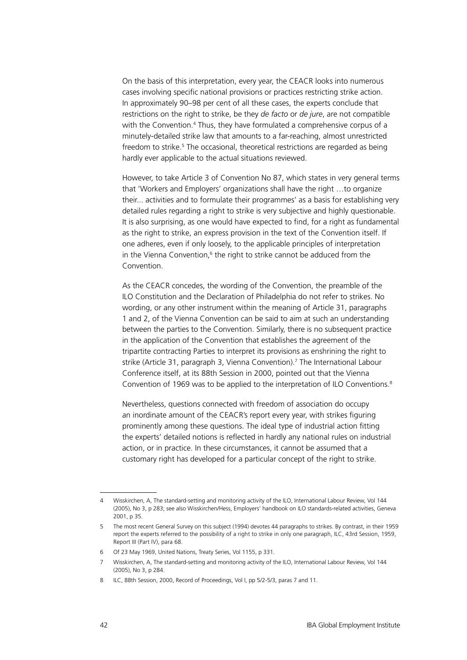On the basis of this interpretation, every year, the CEACR looks into numerous cases involving specific national provisions or practices restricting strike action. In approximately 90–98 per cent of all these cases, the experts conclude that restrictions on the right to strike, be they *de facto* or *de jure*, are not compatible with the Convention.<sup>4</sup> Thus, they have formulated a comprehensive corpus of a minutely-detailed strike law that amounts to a far-reaching, almost unrestricted freedom to strike.<sup>5</sup> The occasional, theoretical restrictions are regarded as being hardly ever applicable to the actual situations reviewed.

However, to take Article 3 of Convention No 87, which states in very general terms that 'Workers and Employers' organizations shall have the right …to organize their... activities and to formulate their programmes' as a basis for establishing very detailed rules regarding a right to strike is very subjective and highly questionable. It is also surprising, as one would have expected to find, for a right as fundamental as the right to strike, an express provision in the text of the Convention itself. If one adheres, even if only loosely, to the applicable principles of interpretation in the Vienna Convention,<sup>6</sup> the right to strike cannot be adduced from the Convention.

As the CEACR concedes, the wording of the Convention, the preamble of the ILO Constitution and the Declaration of Philadelphia do not refer to strikes. No wording, or any other instrument within the meaning of Article 31, paragraphs 1 and 2, of the Vienna Convention can be said to aim at such an understanding between the parties to the Convention. Similarly, there is no subsequent practice in the application of the Convention that establishes the agreement of the tripartite contracting Parties to interpret its provisions as enshrining the right to strike (Article 31, paragraph 3, Vienna Convention).7 The International Labour Conference itself, at its 88th Session in 2000, pointed out that the Vienna Convention of 1969 was to be applied to the interpretation of ILO Conventions.<sup>8</sup>

Nevertheless, questions connected with freedom of association do occupy an inordinate amount of the CEACR's report every year, with strikes figuring prominently among these questions. The ideal type of industrial action fitting the experts' detailed notions is reflected in hardly any national rules on industrial action, or in practice. In these circumstances, it cannot be assumed that a customary right has developed for a particular concept of the right to strike.

<sup>4</sup> Wisskirchen, A, The standard-setting and monitoring activity of the ILO, International Labour Review, Vol 144 (2005), No 3, p 283; see also Wisskirchen/Hess, Employers' handbook on ILO standards-related activities, Geneva 2001, p 35.

<sup>5</sup> The most recent General Survey on this subject (1994) devotes 44 paragraphs to strikes. By contrast, in their 1959 report the experts referred to the possibility of a right to strike in only one paragraph, ILC, 43rd Session, 1959, Report III (Part IV), para 68.

<sup>6</sup> Of 23 May 1969, United Nations, Treaty Series, Vol 1155, p 331.

<sup>7</sup> Wisskirchen, A, The standard-setting and monitoring activity of the ILO, International Labour Review, Vol 144 (2005), No 3, p 284.

<sup>8</sup> ILC, 88th Session, 2000, Record of Proceedings, Vol I, pp 5/2-5/3, paras 7 and 11.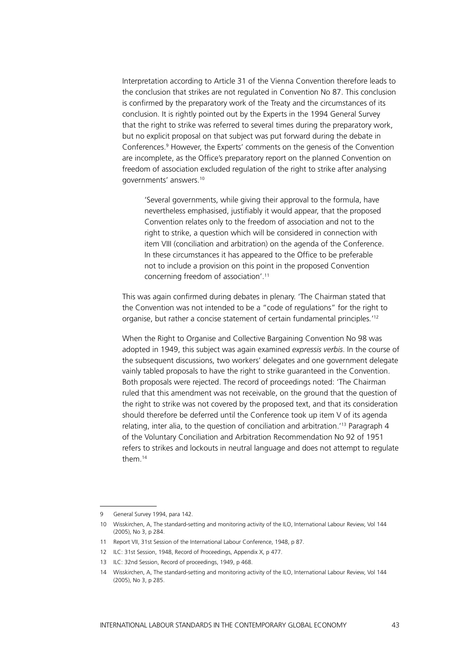Interpretation according to Article 31 of the Vienna Convention therefore leads to the conclusion that strikes are not regulated in Convention No 87. This conclusion is confirmed by the preparatory work of the Treaty and the circumstances of its conclusion. It is rightly pointed out by the Experts in the 1994 General Survey that the right to strike was referred to several times during the preparatory work, but no explicit proposal on that subject was put forward during the debate in Conferences.9 However, the Experts' comments on the genesis of the Convention are incomplete, as the Office's preparatory report on the planned Convention on freedom of association excluded regulation of the right to strike after analysing governments' answers.10

'Several governments, while giving their approval to the formula, have nevertheless emphasised, justifiably it would appear, that the proposed Convention relates only to the freedom of association and not to the right to strike, a question which will be considered in connection with item VIII (conciliation and arbitration) on the agenda of the Conference. In these circumstances it has appeared to the Office to be preferable not to include a provision on this point in the proposed Convention concerning freedom of association'.11

This was again confirmed during debates in plenary. 'The Chairman stated that the Convention was not intended to be a "code of regulations" for the right to organise, but rather a concise statement of certain fundamental principles*.*' 12

When the Right to Organise and Collective Bargaining Convention No 98 was adopted in 1949, this subject was again examined *expressis verbis*. In the course of the subsequent discussions, two workers' delegates and one government delegate vainly tabled proposals to have the right to strike guaranteed in the Convention. Both proposals were rejected. The record of proceedings noted: 'The Chairman ruled that this amendment was not receivable, on the ground that the question of the right to strike was not covered by the proposed text, and that its consideration should therefore be deferred until the Conference took up item V of its agenda relating, inter alia, to the question of conciliation and arbitration.'13 Paragraph 4 of the Voluntary Conciliation and Arbitration Recommendation No 92 of 1951 refers to strikes and lockouts in neutral language and does not attempt to regulate them <sup>14</sup>

<sup>9</sup> General Survey 1994, para 142.

<sup>10</sup> Wisskirchen, A, The standard-setting and monitoring activity of the ILO, International Labour Review, Vol 144 (2005), No 3, p 284.

<sup>11</sup> Report VII, 31st Session of the International Labour Conference, 1948, p 87.

<sup>12</sup> ILC: 31st Session, 1948, Record of Proceedings, Appendix X, p 477.

<sup>13</sup> ILC: 32nd Session, Record of proceedings, 1949, p 468.

<sup>14</sup> Wisskirchen, A, The standard-setting and monitoring activity of the ILO, International Labour Review, Vol 144 (2005), No 3, p 285.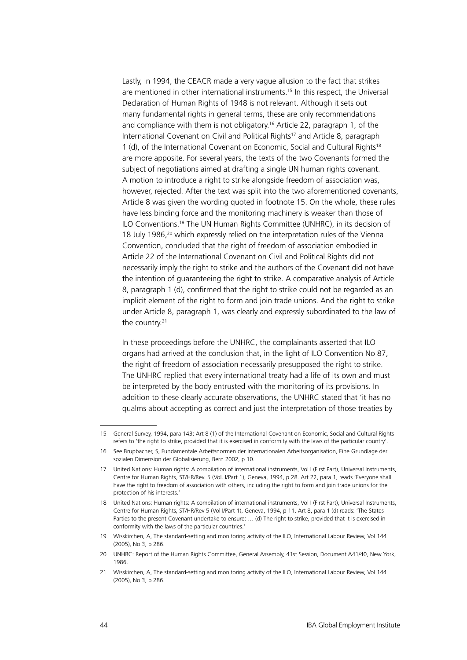Lastly, in 1994, the CEACR made a very vague allusion to the fact that strikes are mentioned in other international instruments.<sup>15</sup> In this respect, the Universal Declaration of Human Rights of 1948 is not relevant. Although it sets out many fundamental rights in general terms, these are only recommendations and compliance with them is not obligatory.16 Article 22, paragraph 1, of the International Covenant on Civil and Political Rights<sup>17</sup> and Article 8, paragraph 1 (d), of the International Covenant on Economic, Social and Cultural Rights<sup>18</sup> are more apposite. For several years, the texts of the two Covenants formed the subject of negotiations aimed at drafting a single UN human rights covenant. A motion to introduce a right to strike alongside freedom of association was, however, rejected. After the text was split into the two aforementioned covenants, Article 8 was given the wording quoted in footnote 15. On the whole, these rules have less binding force and the monitoring machinery is weaker than those of ILO Conventions.19 The UN Human Rights Committee (UNHRC), in its decision of 18 July 1986,<sup>20</sup> which expressly relied on the interpretation rules of the Vienna Convention, concluded that the right of freedom of association embodied in Article 22 of the International Covenant on Civil and Political Rights did not necessarily imply the right to strike and the authors of the Covenant did not have the intention of guaranteeing the right to strike. A comparative analysis of Article 8, paragraph 1 (d), confirmed that the right to strike could not be regarded as an implicit element of the right to form and join trade unions. And the right to strike under Article 8, paragraph 1, was clearly and expressly subordinated to the law of the country.<sup>21</sup>

In these proceedings before the UNHRC, the complainants asserted that ILO organs had arrived at the conclusion that, in the light of ILO Convention No 87, the right of freedom of association necessarily presupposed the right to strike. The UNHRC replied that every international treaty had a life of its own and must be interpreted by the body entrusted with the monitoring of its provisions. In addition to these clearly accurate observations, the UNHRC stated that 'it has no qualms about accepting as correct and just the interpretation of those treaties by

<sup>15</sup> General Survey, 1994, para 143: Art 8 (1) of the International Covenant on Economic, Social and Cultural Rights refers to 'the right to strike, provided that it is exercised in conformity with the laws of the particular country'.

<sup>16</sup> See Brupbacher, S, Fundamentale Arbeitsnormen der Internationalen Arbeitsorganisation, Eine Grundlage der sozialen Dimension der Globalisierung, Bern 2002, p 10.

<sup>17</sup> United Nations: Human rights: A compilation of international instruments, Vol I (First Part), Universal Instruments, Centre for Human Rights, ST/HR/Rev. 5 (Vol. I/Part 1), Geneva, 1994, p 28. Art 22, para 1, reads 'Everyone shall have the right to freedom of association with others, including the right to form and join trade unions for the protection of his interests.'

<sup>18</sup> United Nations: Human rights: A compilation of international instruments, Vol I (First Part), Universal Instruments, Centre for Human Rights, ST/HR/Rev 5 (Vol I/Part 1), Geneva, 1994, p 11. Art 8, para 1 (d) reads: 'The States Parties to the present Covenant undertake to ensure: … (d) The right to strike, provided that it is exercised in conformity with the laws of the particular countries.'

<sup>19</sup> Wisskirchen, A, The standard-setting and monitoring activity of the ILO, International Labour Review, Vol 144 (2005), No 3, p 286.

<sup>20</sup> UNHRC: Report of the Human Rights Committee, General Assembly, 41st Session, Document A41/40, New York, 1986.

<sup>21</sup> Wisskirchen, A, The standard-setting and monitoring activity of the ILO, International Labour Review, Vol 144 (2005), No 3, p 286.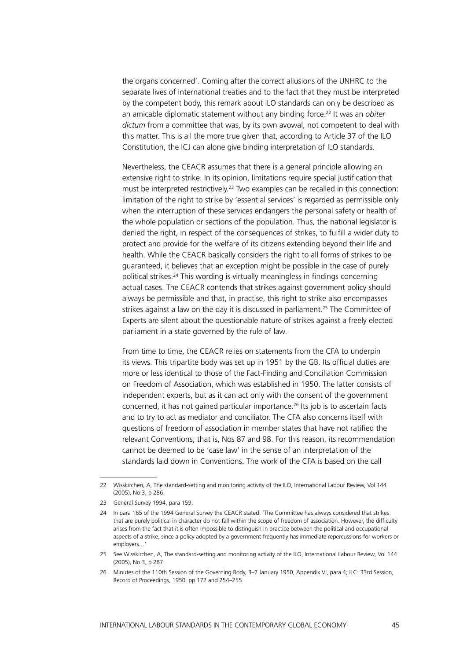the organs concerned'. Coming after the correct allusions of the UNHRC to the separate lives of international treaties and to the fact that they must be interpreted by the competent body, this remark about ILO standards can only be described as an amicable diplomatic statement without any binding force.22 It was an *obiter dictum* from a committee that was, by its own avowal, not competent to deal with this matter. This is all the more true given that, according to Article 37 of the ILO Constitution, the ICJ can alone give binding interpretation of ILO standards.

Nevertheless, the CEACR assumes that there is a general principle allowing an extensive right to strike. In its opinion, limitations require special justification that must be interpreted restrictively.23 Two examples can be recalled in this connection: limitation of the right to strike by 'essential services' is regarded as permissible only when the interruption of these services endangers the personal safety or health of the whole population or sections of the population. Thus, the national legislator is denied the right, in respect of the consequences of strikes, to fulfill a wider duty to protect and provide for the welfare of its citizens extending beyond their life and health. While the CEACR basically considers the right to all forms of strikes to be guaranteed, it believes that an exception might be possible in the case of purely political strikes.24 This wording is virtually meaningless in findings concerning actual cases. The CEACR contends that strikes against government policy should always be permissible and that, in practise, this right to strike also encompasses strikes against a law on the day it is discussed in parliament.<sup>25</sup> The Committee of Experts are silent about the questionable nature of strikes against a freely elected parliament in a state governed by the rule of law.

From time to time, the CEACR relies on statements from the CFA to underpin its views. This tripartite body was set up in 1951 by the GB. Its official duties are more or less identical to those of the Fact-Finding and Conciliation Commission on Freedom of Association, which was established in 1950. The latter consists of independent experts, but as it can act only with the consent of the government concerned, it has not gained particular importance.26 Its job is to ascertain facts and to try to act as mediator and conciliator. The CFA also concerns itself with questions of freedom of association in member states that have not ratified the relevant Conventions; that is, Nos 87 and 98. For this reason, its recommendation cannot be deemed to be 'case law' in the sense of an interpretation of the standards laid down in Conventions. The work of the CFA is based on the call

<sup>22</sup> Wisskirchen, A, The standard-setting and monitoring activity of the ILO, International Labour Review, Vol 144 (2005), No 3, p 286.

<sup>23</sup> General Survey 1994, para 159.

<sup>24</sup> In para 165 of the 1994 General Survey the CEACR stated: 'The Committee has always considered that strikes that are purely political in character do not fall within the scope of freedom of association. However, the difficulty arises from the fact that it is often impossible to distinguish in practice between the political and occupational aspects of a strike, since a policy adopted by a government frequently has immediate repercussions for workers or employers…'

<sup>25</sup> See Wisskirchen, A, The standard-setting and monitoring activity of the ILO, International Labour Review, Vol 144 (2005), No 3, p 287.

<sup>26</sup> Minutes of the 110th Session of the Governing Body, 3–7 January 1950, Appendix VI, para 4; ILC: 33rd Session, Record of Proceedings, 1950, pp 172 and 254–255.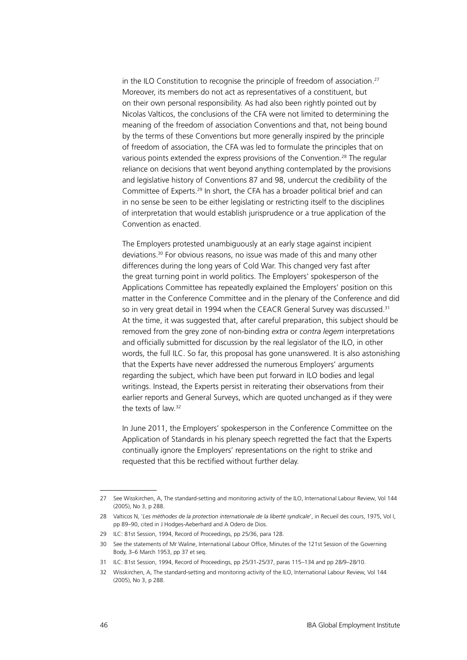in the ILO Constitution to recognise the principle of freedom of association.<sup>27</sup> Moreover, its members do not act as representatives of a constituent, but on their own personal responsibility. As had also been rightly pointed out by Nicolas Valticos, the conclusions of the CFA were not limited to determining the meaning of the freedom of association Conventions and that, not being bound by the terms of these Conventions but more generally inspired by the principle of freedom of association, the CFA was led to formulate the principles that on various points extended the express provisions of the Convention.28 The regular reliance on decisions that went beyond anything contemplated by the provisions and legislative history of Conventions 87 and 98, undercut the credibility of the Committee of Experts.29 In short, the CFA has a broader political brief and can in no sense be seen to be either legislating or restricting itself to the disciplines of interpretation that would establish jurisprudence or a true application of the Convention as enacted.

The Employers protested unambiguously at an early stage against incipient deviations.30 For obvious reasons, no issue was made of this and many other differences during the long years of Cold War. This changed very fast after the great turning point in world politics. The Employers' spokesperson of the Applications Committee has repeatedly explained the Employers' position on this matter in the Conference Committee and in the plenary of the Conference and did so in very great detail in 1994 when the CEACR General Survey was discussed.<sup>31</sup> At the time, it was suggested that, after careful preparation, this subject should be removed from the grey zone of non-binding *extra* or *contra legem* interpretations and officially submitted for discussion by the real legislator of the ILO, in other words, the full ILC. So far, this proposal has gone unanswered. It is also astonishing that the Experts have never addressed the numerous Employers' arguments regarding the subject, which have been put forward in ILO bodies and legal writings. Instead, the Experts persist in reiterating their observations from their earlier reports and General Surveys, which are quoted unchanged as if they were the texts of law.32

In June 2011, the Employers' spokesperson in the Conference Committee on the Application of Standards in his plenary speech regretted the fact that the Experts continually ignore the Employers' representations on the right to strike and requested that this be rectified without further delay.

<sup>27</sup> See Wisskirchen, A, The standard-setting and monitoring activity of the ILO, International Labour Review, Vol 144 (2005), No 3, p 288.

<sup>28</sup> Valticos N, '*Les méthodes de la protection internationale de la liberté syndicale*', in Recueil des cours, 1975, Vol I, pp 89–90, cited in J Hodges-Aeberhard and A Odero de Dios.

<sup>29</sup> ILC: 81st Session, 1994, Record of Proceedings, pp 25/36, para 128.

<sup>30</sup> See the statements of Mr Waline, International Labour Office, Minutes of the 121st Session of the Governing Body, 3–6 March 1953, pp 37 et seq.

<sup>31</sup> ILC: 81st Session, 1994, Record of Proceedings, pp 25/31-25/37, paras 115–134 and pp 28/9–28/10.

<sup>32</sup> Wisskirchen, A, The standard-setting and monitoring activity of the ILO, International Labour Review, Vol 144 (2005), No 3, p 288.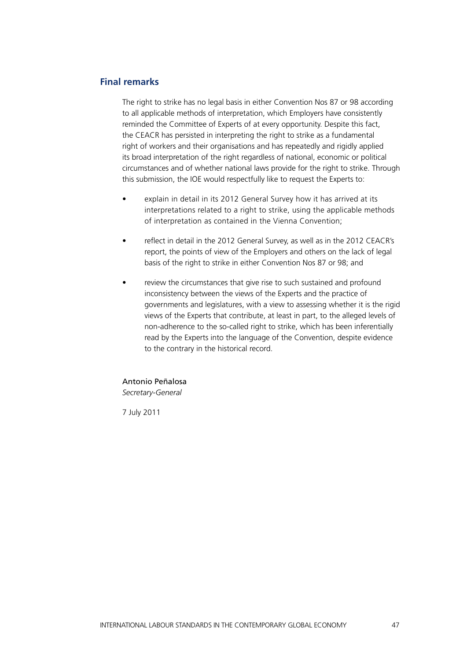# **Final remarks**

The right to strike has no legal basis in either Convention Nos 87 or 98 according to all applicable methods of interpretation, which Employers have consistently reminded the Committee of Experts of at every opportunity. Despite this fact, the CEACR has persisted in interpreting the right to strike as a fundamental right of workers and their organisations and has repeatedly and rigidly applied its broad interpretation of the right regardless of national, economic or political circumstances and of whether national laws provide for the right to strike. Through this submission, the IOE would respectfully like to request the Experts to:

- explain in detail in its 2012 General Survey how it has arrived at its interpretations related to a right to strike, using the applicable methods of interpretation as contained in the Vienna Convention;
- reflect in detail in the 2012 General Survey, as well as in the 2012 CEACR's report, the points of view of the Employers and others on the lack of legal basis of the right to strike in either Convention Nos 87 or 98; and
- review the circumstances that give rise to such sustained and profound inconsistency between the views of the Experts and the practice of governments and legislatures, with a view to assessing whether it is the rigid views of the Experts that contribute, at least in part, to the alleged levels of non-adherence to the so-called right to strike, which has been inferentially read by the Experts into the language of the Convention, despite evidence to the contrary in the historical record.

Antonio Peñalosa

*Secretary-General*

7 July 2011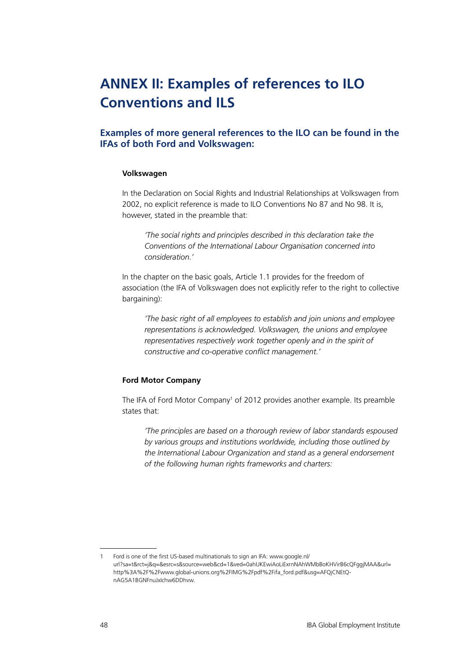# **ANNEX II: Examples of references to ILO Conventions and ILS**

# **Examples of more general references to the ILO can be found in the IFAs of both Ford and Volkswagen:**

#### **Volkswagen**

In the Declaration on Social Rights and Industrial Relationships at Volkswagen from 2002, no explicit reference is made to ILO Conventions No 87 and No 98. It is, however, stated in the preamble that:

*'The social rights and principles described in this declaration take the Conventions of the International Labour Organisation concerned into consideration.'*

In the chapter on the basic goals, Article 1.1 provides for the freedom of association (the IFA of Volkswagen does not explicitly refer to the right to collective bargaining):

*'The basic right of all employees to establish and join unions and employee representations is acknowledged. Volkswagen, the unions and employee representatives respectively work together openly and in the spirit of constructive and co-operative conflict management.'*

#### **Ford Motor Company**

The IFA of Ford Motor Company<sup>1</sup> of 2012 provides another example. Its preamble states that:

*'The principles are based on a thorough review of labor standards espoused by various groups and institutions worldwide, including those outlined by the International Labour Organization and stand as a general endorsement of the following human rights frameworks and charters:*

<sup>1</sup> Ford is one of the first US-based multinationals to sign an IFA: www.google.nl/ url?sa=t&rct=j&q=&esrc=s&source=web&cd=1&ved=0ahUKEwiAoLiExrnNAhWMbBoKHVirB6cQFggjMAA&url= http%3A%2F%2Fwww.global-unions.org%2FIMG%2Fpdf%2Fifa\_ford.pdf&usg=AFQjCNEtQnAG5A1BGNFnuJxIchw6DDhvw.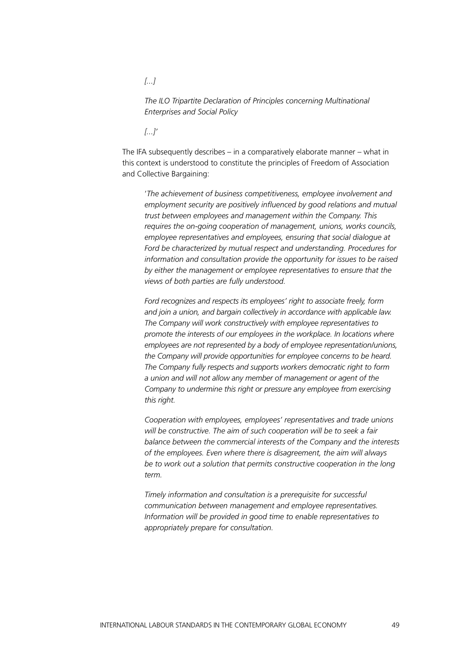*[...]*

*The ILO Tripartite Declaration of Principles concerning Multinational Enterprises and Social Policy*

*[...]'*

The IFA subsequently describes – in a comparatively elaborate manner – what in this context is understood to constitute the principles of Freedom of Association and Collective Bargaining:

'*The achievement of business competitiveness, employee involvement and employment security are positively influenced by good relations and mutual trust between employees and management within the Company. This requires the on-going cooperation of management, unions, works councils, employee representatives and employees, ensuring that social dialogue at Ford be characterized by mutual respect and understanding. Procedures for information and consultation provide the opportunity for issues to be raised by either the management or employee representatives to ensure that the views of both parties are fully understood.*

*Ford recognizes and respects its employees' right to associate freely, form*  and join a union, and bargain collectively in accordance with applicable law. *The Company will work constructively with employee representatives to promote the interests of our employees in the workplace. In locations where employees are not represented by a body of employee representation/unions, the Company will provide opportunities for employee concerns to be heard. The Company fully respects and supports workers democratic right to form a union and will not allow any member of management or agent of the Company to undermine this right or pressure any employee from exercising this right.*

*Cooperation with employees, employees' representatives and trade unions will be constructive. The aim of such cooperation will be to seek a fair balance between the commercial interests of the Company and the interests of the employees. Even where there is disagreement, the aim will always be to work out a solution that permits constructive cooperation in the long term.*

*Timely information and consultation is a prerequisite for successful communication between management and employee representatives. Information will be provided in good time to enable representatives to appropriately prepare for consultation.*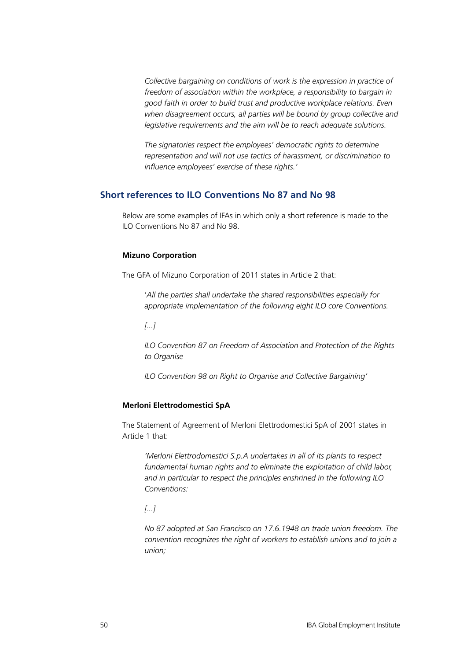*Collective bargaining on conditions of work is the expression in practice of freedom of association within the workplace, a responsibility to bargain in good faith in order to build trust and productive workplace relations. Even when disagreement occurs, all parties will be bound by group collective and legislative requirements and the aim will be to reach adequate solutions.*

*The signatories respect the employees' democratic rights to determine representation and will not use tactics of harassment, or discrimination to influence employees' exercise of these rights.'*

### **Short references to ILO Conventions No 87 and No 98**

Below are some examples of IFAs in which only a short reference is made to the ILO Conventions No 87 and No 98.

#### **Mizuno Corporation**

The GFA of Mizuno Corporation of 2011 states in Article 2 that:

'*All the parties shall undertake the shared responsibilities especially for appropriate implementation of the following eight ILO core Conventions.*

*[...]*

*ILO Convention 87 on Freedom of Association and Protection of the Rights to Organise*

*ILO Convention 98 on Right to Organise and Collective Bargaining'*

### **Merloni Elettrodomestici SpA**

The Statement of Agreement of Merloni Elettrodomestici SpA of 2001 states in Article 1 that:

*'Merloni Elettrodomestici S.p.A undertakes in all of its plants to respect fundamental human rights and to eliminate the exploitation of child labor, and in particular to respect the principles enshrined in the following ILO Conventions:*

*[...]*

*No 87 adopted at San Francisco on 17.6.1948 on trade union freedom. The convention recognizes the right of workers to establish unions and to join a union;*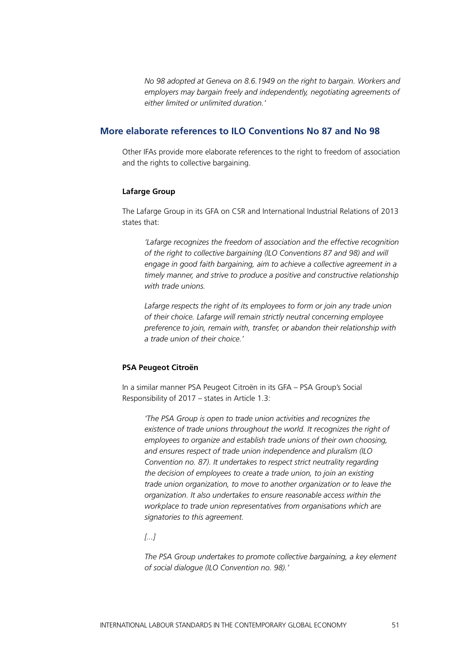*No 98 adopted at Geneva on 8.6.1949 on the right to bargain. Workers and employers may bargain freely and independently, negotiating agreements of either limited or unlimited duration.'*

# **More elaborate references to ILO Conventions No 87 and No 98**

Other IFAs provide more elaborate references to the right to freedom of association and the rights to collective bargaining.

### **Lafarge Group**

The Lafarge Group in its GFA on CSR and International Industrial Relations of 2013 states that:

*'Lafarge recognizes the freedom of association and the effective recognition of the right to collective bargaining (ILO Conventions 87 and 98) and will engage in good faith bargaining, aim to achieve a collective agreement in a timely manner, and strive to produce a positive and constructive relationship with trade unions.*

Lafarge respects the right of its employees to form or join any trade union *of their choice. Lafarge will remain strictly neutral concerning employee preference to join, remain with, transfer, or abandon their relationship with a trade union of their choice.'*

#### **PSA Peugeot Citroën**

In a similar manner PSA Peugeot Citroën in its GFA – PSA Group's Social Responsibility of 2017 – states in Article 1.3:

*'The PSA Group is open to trade union activities and recognizes the existence of trade unions throughout the world. It recognizes the right of employees to organize and establish trade unions of their own choosing, and ensures respect of trade union independence and pluralism (ILO Convention no. 87). It undertakes to respect strict neutrality regarding the decision of employees to create a trade union, to join an existing trade union organization, to move to another organization or to leave the organization. It also undertakes to ensure reasonable access within the workplace to trade union representatives from organisations which are signatories to this agreement.*

*[...]*

*The PSA Group undertakes to promote collective bargaining, a key element of social dialogue (ILO Convention no. 98).'*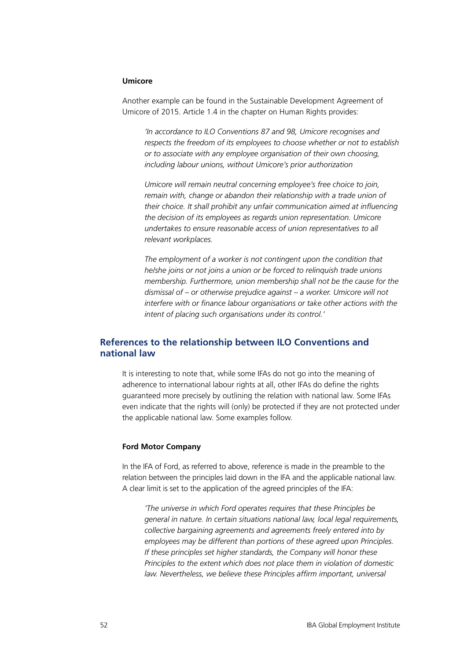#### **Umicore**

Another example can be found in the Sustainable Development Agreement of Umicore of 2015. Article 1.4 in the chapter on Human Rights provides:

*'In accordance to ILO Conventions 87 and 98, Umicore recognises and respects the freedom of its employees to choose whether or not to establish or to associate with any employee organisation of their own choosing, including labour unions, without Umicore's prior authorization*

*Umicore will remain neutral concerning employee's free choice to join, remain with, change or abandon their relationship with a trade union of their choice. It shall prohibit any unfair communication aimed at influencing the decision of its employees as regards union representation. Umicore undertakes to ensure reasonable access of union representatives to all relevant workplaces.*

*The employment of a worker is not contingent upon the condition that he/she joins or not joins a union or be forced to relinquish trade unions membership. Furthermore, union membership shall not be the cause for the dismissal of – or otherwise prejudice against – a worker. Umicore will not interfere with or finance labour organisations or take other actions with the intent of placing such organisations under its control.'*

# **References to the relationship between ILO Conventions and national law**

It is interesting to note that, while some IFAs do not go into the meaning of adherence to international labour rights at all, other IFAs do define the rights guaranteed more precisely by outlining the relation with national law. Some IFAs even indicate that the rights will (only) be protected if they are not protected under the applicable national law. Some examples follow.

### **Ford Motor Company**

In the IFA of Ford, as referred to above, reference is made in the preamble to the relation between the principles laid down in the IFA and the applicable national law. A clear limit is set to the application of the agreed principles of the IFA:

*'The universe in which Ford operates requires that these Principles be general in nature. In certain situations national law, local legal requirements, collective bargaining agreements and agreements freely entered into by employees may be different than portions of these agreed upon Principles. If these principles set higher standards, the Company will honor these Principles to the extent which does not place them in violation of domestic law. Nevertheless, we believe these Principles affirm important, universal*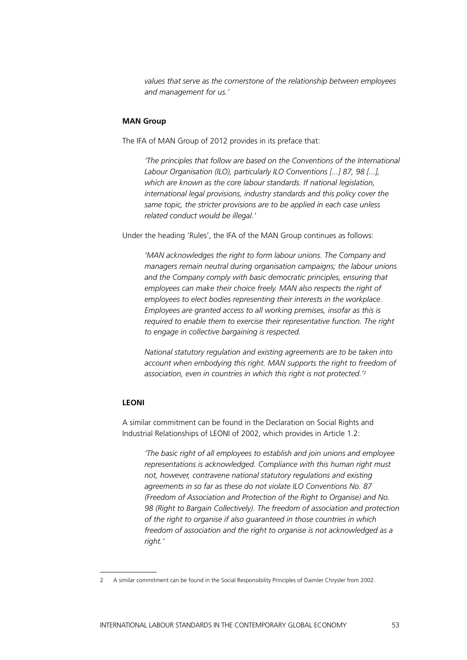*values that serve as the cornerstone of the relationship between employees and management for us.'*

#### **MAN Group**

The IFA of MAN Group of 2012 provides in its preface that:

*'The principles that follow are based on the Conventions of the International Labour Organisation (ILO), particularly ILO Conventions [...] 87, 98 [...], which are known as the core labour standards. If national legislation, international legal provisions, industry standards and this policy cover the same topic, the stricter provisions are to be applied in each case unless related conduct would be illegal.'*

Under the heading 'Rules', the IFA of the MAN Group continues as follows:

*'MAN acknowledges the right to form labour unions. The Company and managers remain neutral during organisation campaigns; the labour unions and the Company comply with basic democratic principles, ensuring that employees can make their choice freely. MAN also respects the right of employees to elect bodies representing their interests in the workplace. Employees are granted access to all working premises, insofar as this is required to enable them to exercise their representative function. The right to engage in collective bargaining is respected.*

*National statutory regulation and existing agreements are to be taken into account when embodying this right. MAN supports the right to freedom of association, even in countries in which this right is not protected.'2*

### **LEONI**

A similar commitment can be found in the Declaration on Social Rights and Industrial Relationships of LEONI of 2002, which provides in Article 1.2:

*'The basic right of all employees to establish and join unions and employee representations is acknowledged. Compliance with this human right must not, however, contravene national statutory regulations and existing agreements in so far as these do not violate ILO Conventions No. 87 (Freedom of Association and Protection of the Right to Organise) and No.*  98 (Right to Bargain Collectively). The freedom of association and protection *of the right to organise if also guaranteed in those countries in which freedom of association and the right to organise is not acknowledged as a right.'*

<sup>2</sup> A similar commitment can be found in the Social Responsibility Principles of Daimler Chrysler from 2002.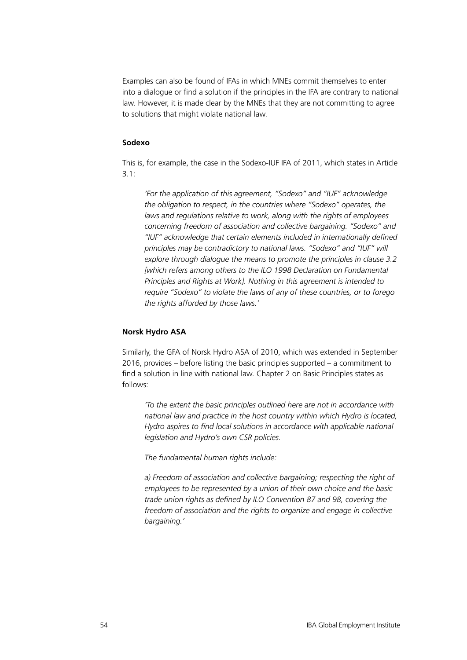Examples can also be found of IFAs in which MNEs commit themselves to enter into a dialogue or find a solution if the principles in the IFA are contrary to national law. However, it is made clear by the MNEs that they are not committing to agree to solutions that might violate national law.

### **Sodexo**

This is, for example, the case in the Sodexo-IUF IFA of 2011, which states in Article 3.1:

*'For the application of this agreement, "Sodexo" and "IUF" acknowledge the obligation to respect, in the countries where "Sodexo" operates, the laws and regulations relative to work, along with the rights of employees concerning freedom of association and collective bargaining. "Sodexo" and "IUF" acknowledge that certain elements included in internationally defined principles may be contradictory to national laws. "Sodexo" and "IUF" will explore through dialogue the means to promote the principles in clause 3.2 [which refers among others to the ILO 1998 Declaration on Fundamental Principles and Rights at Work]. Nothing in this agreement is intended to require "Sodexo" to violate the laws of any of these countries, or to forego the rights afforded by those laws.'*

### **Norsk Hydro ASA**

Similarly, the GFA of Norsk Hydro ASA of 2010, which was extended in September 2016, provides – before listing the basic principles supported – a commitment to find a solution in line with national law. Chapter 2 on Basic Principles states as follows:

*'To the extent the basic principles outlined here are not in accordance with national law and practice in the host country within which Hydro is located, Hydro aspires to find local solutions in accordance with applicable national legislation and Hydro's own CSR policies.*

*The fundamental human rights include:*

*a) Freedom of association and collective bargaining; respecting the right of employees to be represented by a union of their own choice and the basic trade union rights as defined by ILO Convention 87 and 98, covering the*  freedom of association and the rights to organize and engage in collective *bargaining.'*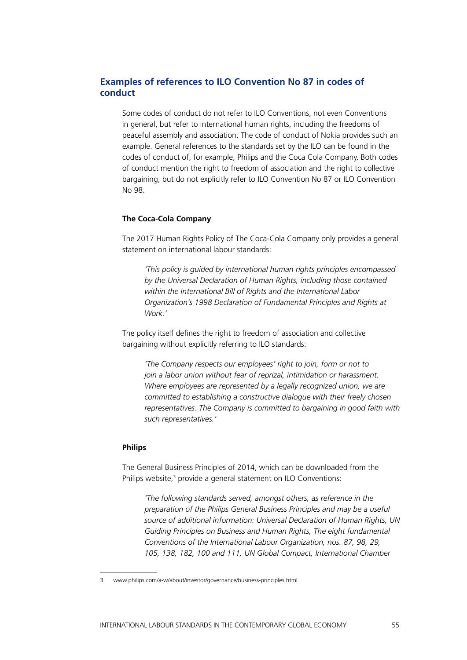# **Examples of references to ILO Convention No 87 in codes of conduct**

Some codes of conduct do not refer to ILO Conventions, not even Conventions in general, but refer to international human rights, including the freedoms of peaceful assembly and association. The code of conduct of Nokia provides such an example. General references to the standards set by the ILO can be found in the codes of conduct of, for example, Philips and the Coca Cola Company. Both codes of conduct mention the right to freedom of association and the right to collective bargaining, but do not explicitly refer to ILO Convention No 87 or ILO Convention No 98.

### **The Coca-Cola Company**

The 2017 Human Rights Policy of The Coca-Cola Company only provides a general statement on international labour standards:

*'This policy is guided by international human rights principles encompassed by the Universal Declaration of Human Rights, including those contained within the International Bill of Rights and the International Labor Organization's 1998 Declaration of Fundamental Principles and Rights at Work.'*

The policy itself defines the right to freedom of association and collective bargaining without explicitly referring to ILO standards:

*'The Company respects our employees' right to join, form or not to join a labor union without fear of reprizal, intimidation or harassment. Where employees are represented by a legally recognized union, we are committed to establishing a constructive dialogue with their freely chosen representatives. The Company is committed to bargaining in good faith with such representatives.'*

#### **Philips**

The General Business Principles of 2014, which can be downloaded from the Philips website,<sup>3</sup> provide a general statement on ILO Conventions:

*'The following standards served, amongst others, as reference in the preparation of the Philips General Business Principles and may be a useful source of additional information: Universal Declaration of Human Rights, UN Guiding Principles on Business and Human Rights, The eight fundamental Conventions of the International Labour Organization, nos. 87, 98, 29, 105, 138, 182, 100 and 111, UN Global Compact, International Chamber* 

<sup>3</sup> www.philips.com/a-w/about/investor/governance/business-principles.html.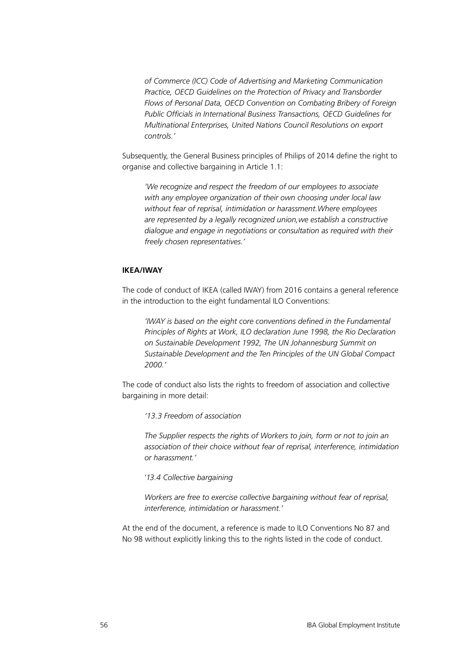*of Commerce (ICC) Code of Advertising and Marketing Communication Practice, OECD Guidelines on the Protection of Privacy and Transborder Flows of Personal Data, OECD Convention on Combating Bribery of Foreign Public Officials in International Business Transactions, OECD Guidelines for Multinational Enterprises, United Nations Council Resolutions on export controls.'*

Subsequently, the General Business principles of Philips of 2014 define the right to organise and collective bargaining in Article 1.1:

*'We recognize and respect the freedom of our employees to associate with any employee organization of their own choosing under local law without fear of reprisal, intimidation or harassment.Where employees are represented by a legally recognized union,we establish a constructive dialogue and engage in negotiations or consultation as required with their freely chosen representatives.'*

### **IKEA/IWAY**

The code of conduct of IKEA (called IWAY) from 2016 contains a general reference in the introduction to the eight fundamental ILO Conventions:

*'IWAY is based on the eight core conventions defined in the Fundamental Principles of Rights at Work, ILO declaration June 1998, the Rio Declaration on Sustainable Development 1992, The UN Johannesburg Summit on Sustainable Development and the Ten Principles of the UN Global Compact 2000.'*

The code of conduct also lists the rights to freedom of association and collective bargaining in more detail:

*'13.3 Freedom of association* 

*The Supplier respects the rights of Workers to join, form or not to join an association of their choice without fear of reprisal, interference, intimidation or harassment.'*

'*13.4 Collective bargaining* 

*Workers are free to exercise collective bargaining without fear of reprisal, interference, intimidation or harassment.'*

At the end of the document, a reference is made to ILO Conventions No 87 and No 98 without explicitly linking this to the rights listed in the code of conduct.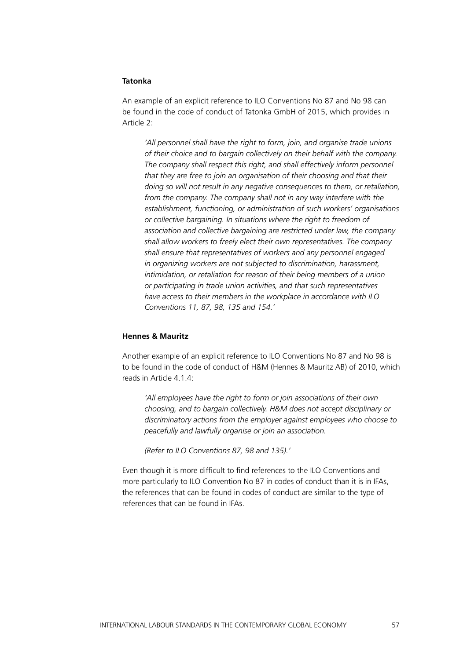### **Tatonka**

An example of an explicit reference to ILO Conventions No 87 and No 98 can be found in the code of conduct of Tatonka GmbH of 2015, which provides in Article 2:

*'All personnel shall have the right to form, join, and organise trade unions of their choice and to bargain collectively on their behalf with the company. The company shall respect this right, and shall effectively inform personnel that they are free to join an organisation of their choosing and that their doing so will not result in any negative consequences to them, or retaliation, from the company. The company shall not in any way interfere with the establishment, functioning, or administration of such workers' organisations or collective bargaining. In situations where the right to freedom of association and collective bargaining are restricted under law, the company shall allow workers to freely elect their own representatives. The company shall ensure that representatives of workers and any personnel engaged in organizing workers are not subjected to discrimination, harassment, intimidation, or retaliation for reason of their being members of a union or participating in trade union activities, and that such representatives have access to their members in the workplace in accordance with ILO Conventions 11, 87, 98, 135 and 154.'*

### **Hennes & Mauritz**

Another example of an explicit reference to ILO Conventions No 87 and No 98 is to be found in the code of conduct of H&M (Hennes & Mauritz AB) of 2010, which reads in Article 4.1.4:

*'All employees have the right to form or join associations of their own choosing, and to bargain collectively. H&M does not accept disciplinary or discriminatory actions from the employer against employees who choose to peacefully and lawfully organise or join an association.*

*(Refer to ILO Conventions 87, 98 and 135).'*

Even though it is more difficult to find references to the ILO Conventions and more particularly to ILO Convention No 87 in codes of conduct than it is in IFAs, the references that can be found in codes of conduct are similar to the type of references that can be found in IFAs.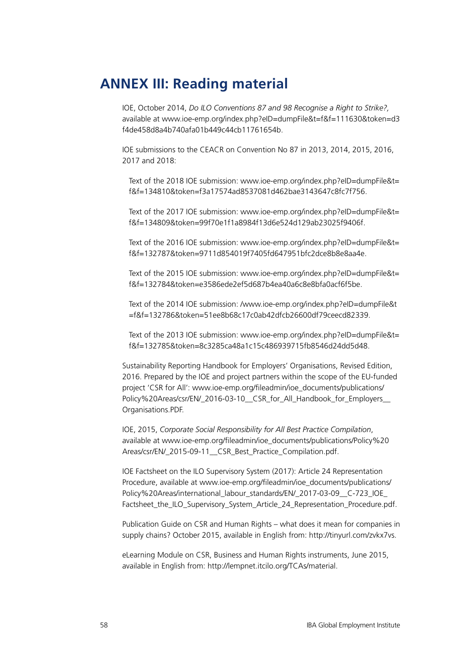# **ANNEX III: Reading material**

IOE, October 2014, *Do ILO Conventions 87 and 98 Recognise a Right to Strike?,* available at www.ioe-emp.org/index.php?eID=dumpFile&t=f&f=111630&token=d3 f4de458d8a4b740afa01b449c44cb11761654b.

IOE submissions to the CEACR on Convention No 87 in 2013, 2014, 2015, 2016, 2017 and 2018:

Text of the 2018 IOE submission: www.ioe-emp.org/index.php?eID=dumpFile&t= f&f=134810&token=f3a17574ad8537081d462bae3143647c8fc7f756.

Text of the 2017 IOE submission: www.ioe-emp.org/index.php?eID=dumpFile&t= f&f=134809&token=99f70e1f1a8984f13d6e524d129ab23025f9406f.

Text of the 2016 IOE submission: www.ioe-emp.org/index.php?eID=dumpFile&t= f&f=132787&token=9711d854019f7405fd647951bfc2dce8b8e8aa4e.

Text of the 2015 IOE submission: www.ioe-emp.org/index.php?eID=dumpFile&t= f&f=132784&token=e3586ede2ef5d687b4ea40a6c8e8bfa0acf6f5be.

Text of the 2014 IOE submission: /www.ioe-emp.org/index.php?eID=dumpFile&t =f&f=132786&token=51ee8b68c17c0ab42dfcb26600df79ceecd82339.

Text of the 2013 IOE submission: www.ioe-emp.org/index.php?eID=dumpFile&t= f&f=132785&token=8c3285ca48a1c15c486939715fb8546d24dd5d48.

Sustainability Reporting Handbook for Employers' Organisations, Revised Edition, 2016. Prepared by the IOE and project partners within the scope of the EU-funded project 'CSR for All': www.ioe-emp.org/fileadmin/ioe\_documents/publications/ Policy%20Areas/csr/EN/\_2016-03-10\_\_CSR\_for\_All\_Handbook\_for\_Employers\_\_ Organisations.PDF.

IOE, 2015, *Corporate Social Responsibility for All Best Practice Compilation*, available at www.ioe-emp.org/fileadmin/ioe\_documents/publications/Policy%20 Areas/csr/EN/\_2015-09-11\_\_CSR\_Best\_Practice\_Compilation.pdf.

IOE Factsheet on the ILO Supervisory System (2017): Article 24 Representation Procedure, available at www.ioe-emp.org/fileadmin/ioe\_documents/publications/ Policy%20Areas/international\_labour\_standards/EN/\_2017-03-09\_\_C-723\_IOE Factsheet\_the\_ILO\_Supervisory\_System\_Article\_24\_Representation\_Procedure.pdf.

Publication Guide on CSR and Human Rights – what does it mean for companies in supply chains? October 2015, available in English from: http://tinyurl.com/zvkx7vs.

eLearning Module on CSR, Business and Human Rights instruments, June 2015, available in English from: http://lempnet.itcilo.org/TCAs/material.